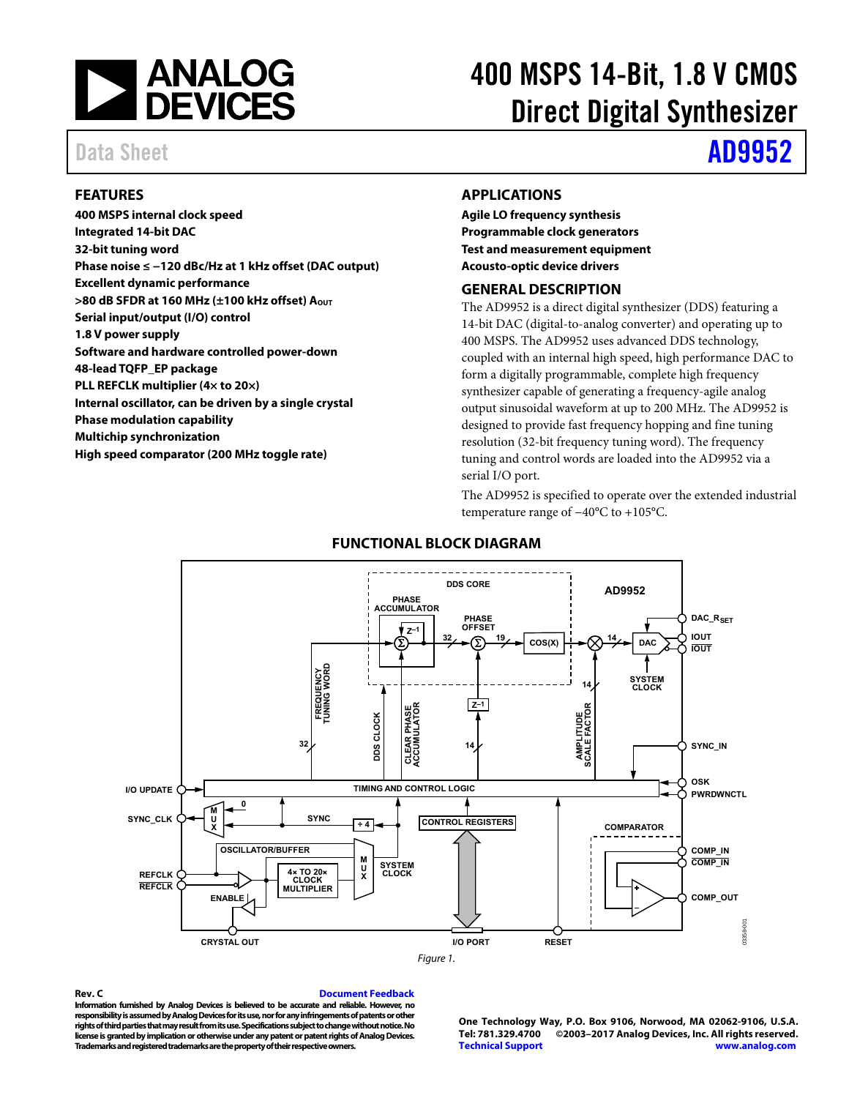

# 400 MSPS 14-Bit, 1.8 V CMOS Direct Digital Synthesizer

# Data Sheet **[AD9952](http://www.analog.com/AD9952?doc=AD9952.pdf)**

### <span id="page-0-0"></span>**FEATURES**

**400 MSPS internal clock speed Integrated 14-bit DAC 32-bit tuning word Phase noise ≤ −120 dBc/Hz at 1 kHz offset (DAC output) Excellent dynamic performance >80 dB SFDR at 160 MHz (±100 kHz offset) AOUT Serial input/output (I/O) control 1.8 V power supply Software and hardware controlled power-down 48-lead TQFP\_EP package PLL REFCLK multiplier (4× to 20×) Internal oscillator, can be driven by a single crystal Phase modulation capability Multichip synchronization High speed comparator (200 MHz toggle rate)** 

#### <span id="page-0-1"></span>**APPLICATIONS**

**Agile LO frequency synthesis Programmable clock generators Test and measurement equipment Acousto-optic device drivers** 

#### <span id="page-0-2"></span>**GENERAL DESCRIPTION**

The AD9952 is a direct digital synthesizer (DDS) featuring a 14-bit DAC (digital-to-analog converter) and operating up to 400 MSPS. The AD9952 uses advanced DDS technology, coupled with an internal high speed, high performance DAC to form a digitally programmable, complete high frequency synthesizer capable of generating a frequency-agile analog output sinusoidal waveform at up to 200 MHz. The AD9952 is designed to provide fast frequency hopping and fine tuning resolution (32-bit frequency tuning word). The frequency tuning and control words are loaded into the AD9952 via a serial I/O port.

The AD9952 is specified to operate over the extended industrial temperature range of −40°C to +105°C.

<span id="page-0-3"></span>

### **FUNCTIONAL BLOCK DIAGRAM**

#### **Rev. C [Document Feedback](https://form.analog.com/Form_Pages/feedback/documentfeedback.aspx?doc=AD9952.pdf&product=AD9952&rev=C)**

**Information furnished by Analog Devices is believed to be accurate and reliable. However, no responsibility is assumed by Analog Devices for its use, nor for any infringements of patents or other rights of third parties that may result from its use. Specifications subject to change without notice. No license is granted by implication or otherwise under any patent or patent rights of Analog Devices. Trademarks and registered trademarks are the property of their respective owners.** 

**One Technology Way, P.O. Box 9106, Norwood, MA 02062-9106, U.S.A. Tel: 781.329.4700 ©2003–2017 Analog Devices, Inc. All rights reserved. [Technical Support](http://www.analog.com/en/content/technical_support_page/fca.html) [www.analog.com](http://www.analog.com/)**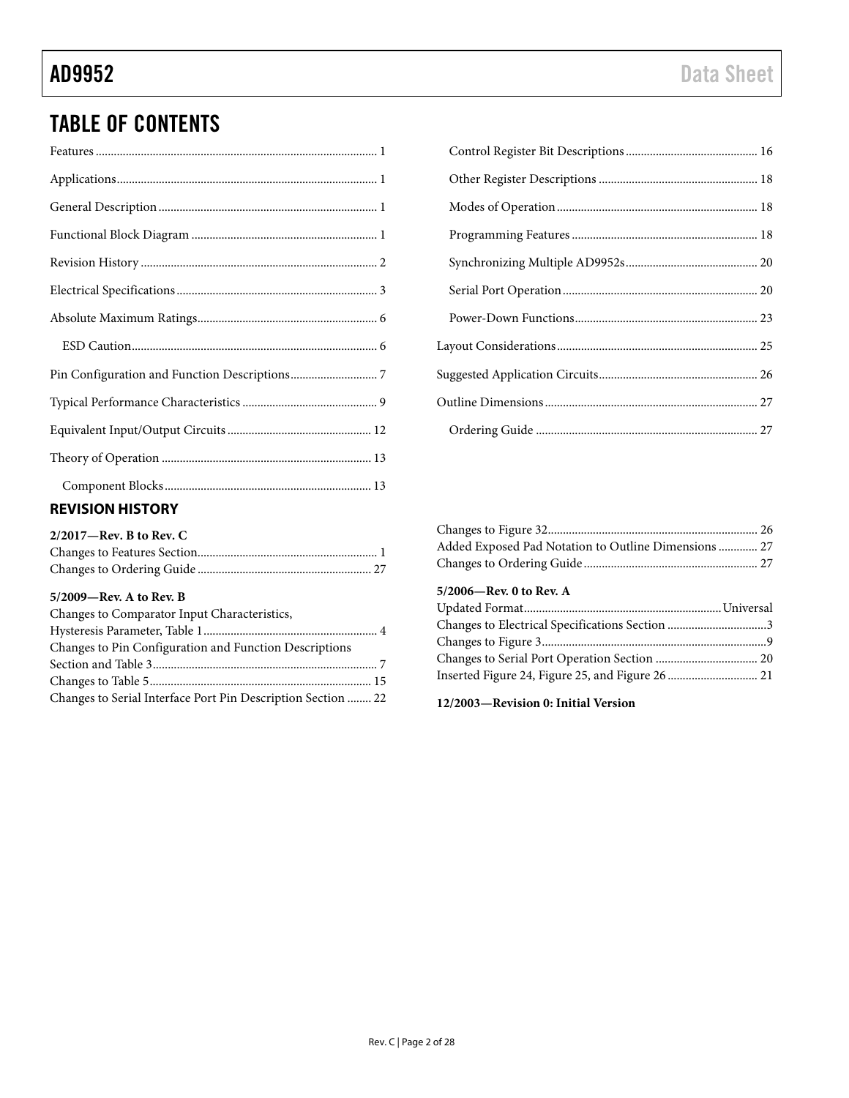# TABLE OF CONTENTS

| $\mathbf{r}$ , $\mathbf{r}$ , $\mathbf{r}$ , $\mathbf{r}$ , $\mathbf{r}$ , $\mathbf{r}$ , $\mathbf{r}$ , $\mathbf{r}$ , $\mathbf{r}$ , $\mathbf{r}$ , $\mathbf{r}$ , $\mathbf{r}$ , $\mathbf{r}$ , $\mathbf{r}$ , $\mathbf{r}$ , $\mathbf{r}$ , $\mathbf{r}$ , $\mathbf{r}$ , $\mathbf{r}$ , $\mathbf{r}$ , |
|-------------------------------------------------------------------------------------------------------------------------------------------------------------------------------------------------------------------------------------------------------------------------------------------------------------|

### <span id="page-1-0"></span>**REVISION HISTORY**

| $2/2017$ —Rev. B to Rev. C |  |
|----------------------------|--|
|                            |  |
|                            |  |

#### **5/2009—Rev. A to Rev. B**

| Changes to Comparator Input Characteristics,                 |  |
|--------------------------------------------------------------|--|
|                                                              |  |
| Changes to Pin Configuration and Function Descriptions       |  |
|                                                              |  |
|                                                              |  |
| Changes to Serial Interface Port Pin Description Section  22 |  |

| Added Exposed Pad Notation to Outline Dimensions  27 |  |
|------------------------------------------------------|--|
|                                                      |  |

### **5/2006—Rev. 0 to Rev. A**

**12/2003—Revision 0: Initial Version**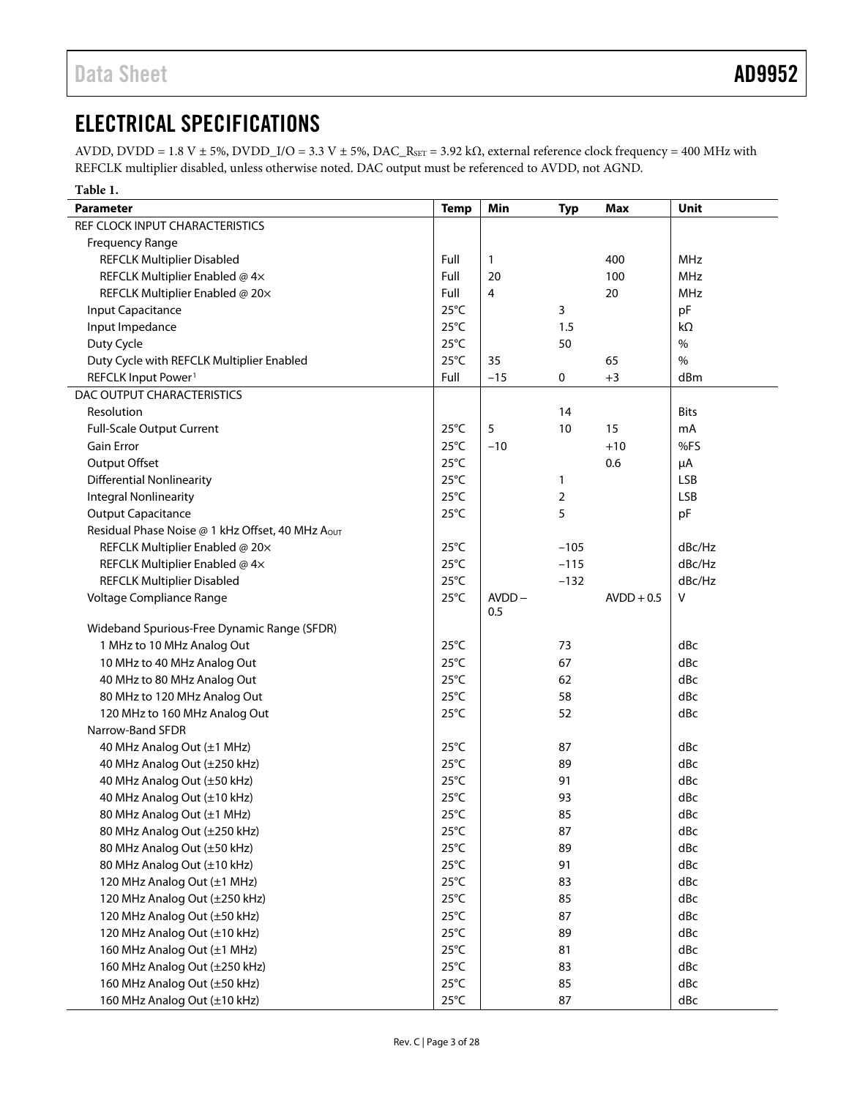# <span id="page-2-0"></span>ELECTRICAL SPECIFICATIONS

AVDD, DVDD = 1.8 V ± 5%, DVDD\_I/O = 3.3 V ± 5%, DAC\_RSET = 3.92 kΩ, external reference clock frequency = 400 MHz with REFCLK multiplier disabled, unless otherwise noted. DAC output must be referenced to AVDD, not AGND.

| Table 1.                                                     |                                  |                 |            |              |               |
|--------------------------------------------------------------|----------------------------------|-----------------|------------|--------------|---------------|
| <b>Parameter</b>                                             | <b>Temp</b>                      | Min             | <b>Typ</b> | <b>Max</b>   | Unit          |
| REF CLOCK INPUT CHARACTERISTICS                              |                                  |                 |            |              |               |
| Frequency Range                                              |                                  |                 |            |              |               |
| <b>REFCLK Multiplier Disabled</b>                            | Full                             | $\mathbf{1}$    |            | 400          | <b>MHz</b>    |
| REFCLK Multiplier Enabled @ 4x                               | Full                             | 20              |            | 100          | <b>MHz</b>    |
| REFCLK Multiplier Enabled @ 20x                              | Full                             | 4               |            | 20           | <b>MHz</b>    |
| Input Capacitance                                            | $25^{\circ}$ C                   |                 | 3          |              | pF            |
| Input Impedance                                              | $25^{\circ}$ C                   |                 | 1.5        |              | $k\Omega$     |
| Duty Cycle                                                   | $25^{\circ}$ C                   |                 | 50         |              | $\frac{0}{0}$ |
| Duty Cycle with REFCLK Multiplier Enabled                    | $25^{\circ}$ C                   | 35              |            | 65           | $\%$          |
| REFCLK Input Power <sup>1</sup>                              | Full                             | $-15$           | 0          | $+3$         | dBm           |
| DAC OUTPUT CHARACTERISTICS                                   |                                  |                 |            |              |               |
| Resolution                                                   |                                  |                 | 14         |              | <b>Bits</b>   |
| <b>Full-Scale Output Current</b>                             | $25^{\circ}$ C                   | 5               | 10         | 15           | mA            |
| Gain Error                                                   | $25^{\circ}$ C                   | $-10$           |            | $+10$        | %FS           |
| Output Offset                                                | $25^{\circ}$ C                   |                 |            | 0.6          | μA            |
| <b>Differential Nonlinearity</b>                             | $25^{\circ}$ C                   |                 | 1          |              | <b>LSB</b>    |
| <b>Integral Nonlinearity</b>                                 | $25^{\circ}$ C                   |                 | 2          |              | <b>LSB</b>    |
| <b>Output Capacitance</b>                                    | $25^{\circ}$ C                   |                 | 5          |              | pF            |
| Residual Phase Noise @ 1 kHz Offset, 40 MHz AOUT             |                                  |                 |            |              |               |
| REFCLK Multiplier Enabled @ 20x                              | $25^{\circ}$ C                   |                 | $-105$     |              | dBc/Hz        |
|                                                              | $25^{\circ}$ C                   |                 | $-115$     |              | dBc/Hz        |
| REFCLK Multiplier Enabled @ 4x                               | $25^{\circ}$ C                   |                 |            |              | dBc/Hz        |
| <b>REFCLK Multiplier Disabled</b>                            |                                  |                 | $-132$     |              |               |
| Voltage Compliance Range                                     | $25^{\circ}$ C                   | $AVDD -$<br>0.5 |            | $AVDD + 0.5$ | ٧             |
| Wideband Spurious-Free Dynamic Range (SFDR)                  |                                  |                 |            |              |               |
| 1 MHz to 10 MHz Analog Out                                   | $25^{\circ}$ C                   |                 | 73         |              | dBc           |
| 10 MHz to 40 MHz Analog Out                                  | $25^{\circ}$ C                   |                 | 67         |              | dBc           |
| 40 MHz to 80 MHz Analog Out                                  | $25^{\circ}$ C                   |                 | 62         |              | dBc           |
| 80 MHz to 120 MHz Analog Out                                 | $25^{\circ}$ C                   |                 | 58         |              | dBc           |
| 120 MHz to 160 MHz Analog Out                                | $25^{\circ}$ C                   |                 | 52         |              | dBc           |
| Narrow-Band SFDR                                             |                                  |                 |            |              |               |
| 40 MHz Analog Out (±1 MHz)                                   | $25^{\circ}$ C                   |                 | 87         |              | dBc           |
| 40 MHz Analog Out (±250 kHz)                                 | $25^{\circ}$ C                   |                 | 89         |              | dBc           |
| 40 MHz Analog Out (±50 kHz)                                  | $25^{\circ}$ C                   |                 | 91         |              | dBc           |
| 40 MHz Analog Out (±10 kHz)                                  | $25^{\circ}$ C                   |                 | 93         |              | dBc           |
| 80 MHz Analog Out (±1 MHz)                                   | 25°C                             |                 | 85         |              | dBc           |
| 80 MHz Analog Out (±250 kHz)                                 | $25^{\circ}C$                    |                 | 87         |              | dBc           |
| 80 MHz Analog Out (±50 kHz)                                  | $25^{\circ}$ C                   |                 | 89         |              | dBc           |
| 80 MHz Analog Out (±10 kHz)                                  | $25^{\circ}$ C                   |                 | 91         |              | dBc           |
|                                                              |                                  |                 |            |              |               |
| 120 MHz Analog Out (±1 MHz)<br>120 MHz Analog Out (±250 kHz) | $25^{\circ}$ C<br>$25^{\circ}$ C |                 | 83<br>85   |              | dBc           |
|                                                              |                                  |                 |            |              | dBc           |
| 120 MHz Analog Out (±50 kHz)                                 | $25^{\circ}$ C                   |                 | 87         |              | dBc           |
| 120 MHz Analog Out (±10 kHz)                                 | $25^{\circ}$ C                   |                 | 89         |              | dBc           |
| 160 MHz Analog Out (±1 MHz)                                  | $25^{\circ}$ C                   |                 | 81         |              | dBc           |
| 160 MHz Analog Out (±250 kHz)                                | $25^{\circ}$ C                   |                 | 83         |              | dBc           |
| 160 MHz Analog Out (±50 kHz)                                 | $25^{\circ}C$                    |                 | 85         |              | dBc           |
| 160 MHz Analog Out (±10 kHz)                                 | $25^{\circ}C$                    |                 | 87         |              | dBc           |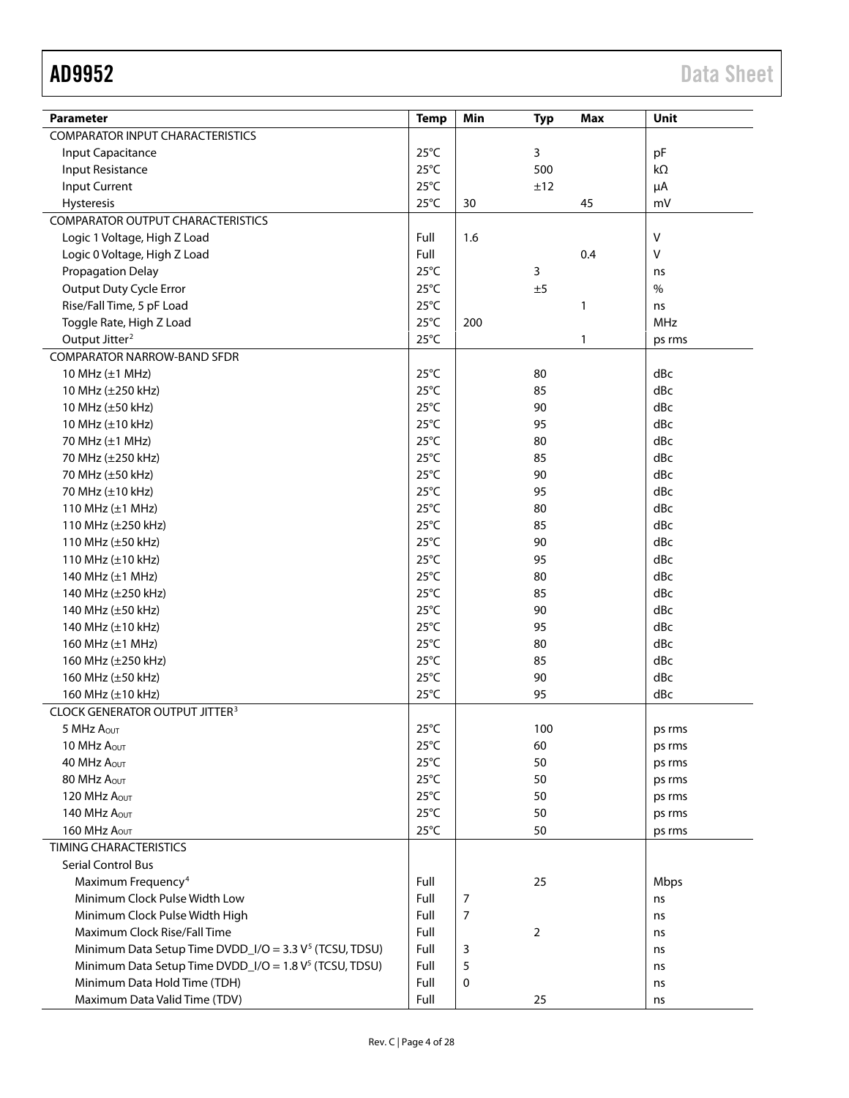| <b>Parameter</b>                                                   | <b>Temp</b>    | Min            | <b>Typ</b> | <b>Max</b> | Unit             |
|--------------------------------------------------------------------|----------------|----------------|------------|------------|------------------|
| <b>COMPARATOR INPUT CHARACTERISTICS</b>                            |                |                |            |            |                  |
| Input Capacitance                                                  | $25^{\circ}$ C |                | 3          |            | pF               |
| Input Resistance                                                   | $25^{\circ}$ C |                | 500        |            | kΩ               |
| Input Current                                                      | $25^{\circ}$ C |                | ±12        |            | μA               |
| Hysteresis                                                         | $25^{\circ}$ C | 30             |            | 45         | mV               |
| <b>COMPARATOR OUTPUT CHARACTERISTICS</b>                           |                |                |            |            |                  |
| Logic 1 Voltage, High Z Load                                       | Full           | 1.6            |            |            | $\mathsf{V}$     |
| Logic 0 Voltage, High Z Load                                       | Full           |                |            | 0.4        | $\mathsf{V}$     |
| Propagation Delay                                                  | $25^{\circ}$ C |                | 3          |            |                  |
| Output Duty Cycle Error                                            | $25^{\circ}$ C |                | ±5         |            | ns<br>$\%$       |
| Rise/Fall Time, 5 pF Load                                          | $25^{\circ}$ C |                |            | 1          |                  |
|                                                                    | $25^{\circ}$ C | 200            |            |            | ns<br><b>MHz</b> |
| Toggle Rate, High Z Load                                           | $25^{\circ}$ C |                |            |            |                  |
| Output Jitter <sup>2</sup>                                         |                |                |            | 1          | ps rms           |
| <b>COMPARATOR NARROW-BAND SFDR</b>                                 |                |                |            |            |                  |
| 10 MHz (±1 MHz)                                                    | $25^{\circ}$ C |                | 80         |            | dBc              |
| 10 MHz (±250 kHz)                                                  | $25^{\circ}$ C |                | 85         |            | dBc              |
| 10 MHz (±50 kHz)                                                   | $25^{\circ}$ C |                | 90         |            | dBc              |
| 10 MHz (±10 kHz)                                                   | $25^{\circ}$ C |                | 95         |            | dBc              |
| 70 MHz (±1 MHz)                                                    | $25^{\circ}$ C |                | 80         |            | dBc              |
| 70 MHz (±250 kHz)                                                  | $25^{\circ}$ C |                | 85         |            | dBc              |
| 70 MHz (±50 kHz)                                                   | $25^{\circ}$ C |                | 90         |            | dBc              |
| 70 MHz (±10 kHz)                                                   | $25^{\circ}$ C |                | 95         |            | dBc              |
| 110 MHz (±1 MHz)                                                   | $25^{\circ}$ C |                | 80         |            | dBc              |
| 110 MHz (±250 kHz)                                                 | $25^{\circ}$ C |                | 85         |            | dBc              |
| 110 MHz (±50 kHz)                                                  | $25^{\circ}$ C |                | 90         |            | dBc              |
| 110 MHz $(\pm 10$ kHz)                                             | $25^{\circ}$ C |                | 95         |            | dBc              |
| 140 MHz (±1 MHz)                                                   | $25^{\circ}$ C |                | 80         |            | dBc              |
| 140 MHz (±250 kHz)                                                 | $25^{\circ}$ C |                | 85         |            | dBc              |
| 140 MHz (±50 kHz)                                                  | $25^{\circ}$ C |                | 90         |            | dBc              |
| 140 MHz (±10 kHz)                                                  | $25^{\circ}$ C |                | 95         |            | dBc              |
| 160 MHz (±1 MHz)                                                   | $25^{\circ}$ C |                | 80         |            | dBc              |
| 160 MHz (±250 kHz)                                                 | $25^{\circ}$ C |                | 85         |            | dBc              |
| 160 MHz (±50 kHz)                                                  | $25^{\circ}$ C |                | 90         |            | dBc              |
| 160 MHz (±10 kHz)                                                  | $25^{\circ}$ C |                | 95         |            | dBc              |
| <b>CLOCK GENERATOR OUTPUT JITTER<sup>3</sup></b>                   |                |                |            |            |                  |
| 5 MHz AOUT                                                         | $25^{\circ}$ C |                | 100        |            | ps rms           |
| 10 MHz AOUT                                                        | $25^{\circ}$ C |                | 60         |            | ps rms           |
| 40 MHz AOUT                                                        | $25^{\circ}$ C |                | 50         |            | ps rms           |
| 80 MHz AOUT                                                        | $25^{\circ}$ C |                | 50         |            | ps rms           |
| 120 MHz Aout                                                       | $25^{\circ}$ C |                | 50         |            | ps rms           |
| 140 MHz Aout                                                       | $25^{\circ}$ C |                | 50         |            | ps rms           |
| 160 MHz Aout                                                       | $25^{\circ}$ C |                | 50         |            | ps rms           |
| <b>TIMING CHARACTERISTICS</b>                                      |                |                |            |            |                  |
| <b>Serial Control Bus</b>                                          |                |                |            |            |                  |
| Maximum Frequency <sup>4</sup>                                     | Full           |                | 25         |            | <b>Mbps</b>      |
| Minimum Clock Pulse Width Low                                      | Full           | 7              |            |            | ns               |
| Minimum Clock Pulse Width High                                     | Full           | $\overline{7}$ |            |            | ns               |
| Maximum Clock Rise/Fall Time                                       | Full           |                | 2          |            | ns               |
| Minimum Data Setup Time DVDD_I/O = 3.3 V <sup>5</sup> (TCSU, TDSU) | Full           | 3              |            |            | ns               |
| Minimum Data Setup Time DVDD_I/O = 1.8 V <sup>5</sup> (TCSU, TDSU) | Full           | 5              |            |            | ns               |
| Minimum Data Hold Time (TDH)                                       | Full           | $\pmb{0}$      |            |            | ns               |
| Maximum Data Valid Time (TDV)                                      | Full           |                | 25         |            | ns               |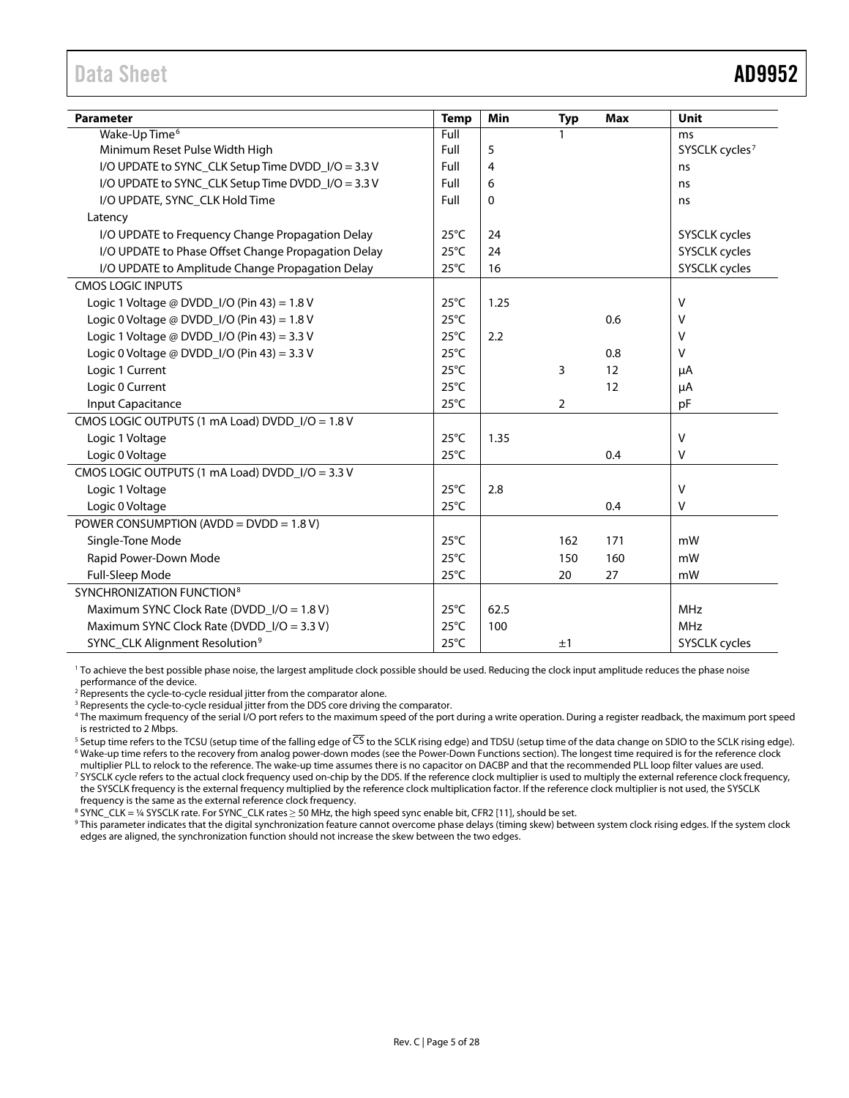<span id="page-4-0"></span>

| <b>Parameter</b>                                    | <b>Temp</b>    | Min  | <b>Typ</b>     | <b>Max</b> | Unit                       |
|-----------------------------------------------------|----------------|------|----------------|------------|----------------------------|
| Wake-Up Time <sup>6</sup>                           | Full           |      | 1              |            | ms                         |
| Minimum Reset Pulse Width High                      | Full           | 5    |                |            | SYSCLK cycles <sup>7</sup> |
| I/O UPDATE to SYNC_CLK Setup Time DVDD_I/O = 3.3 V  | Full           | 4    |                |            | ns                         |
| I/O UPDATE to SYNC_CLK Setup Time DVDD_I/O = 3.3 V  | Full           | 6    |                |            | ns                         |
| I/O UPDATE, SYNC_CLK Hold Time                      | Full           | 0    |                |            | ns                         |
| Latency                                             |                |      |                |            |                            |
| I/O UPDATE to Frequency Change Propagation Delay    | $25^{\circ}$ C | 24   |                |            | SYSCLK cycles              |
| I/O UPDATE to Phase Offset Change Propagation Delay | $25^{\circ}$ C | 24   |                |            | SYSCLK cycles              |
| I/O UPDATE to Amplitude Change Propagation Delay    | $25^{\circ}$ C | 16   |                |            | SYSCLK cycles              |
| <b>CMOS LOGIC INPUTS</b>                            |                |      |                |            |                            |
| Logic 1 Voltage @ DVDD_I/O (Pin 43) = 1.8 V         | $25^{\circ}$ C | 1.25 |                |            | $\mathsf{V}$               |
| Logic 0 Voltage @ DVDD_I/O (Pin 43) = $1.8$ V       | $25^{\circ}$ C |      |                | 0.6        | v                          |
| Logic 1 Voltage @ DVDD_I/O (Pin 43) = 3.3 V         | $25^{\circ}$ C | 2.2  |                |            | v                          |
| Logic 0 Voltage @ DVDD_I/O (Pin 43) = 3.3 V         | $25^{\circ}$ C |      |                | 0.8        | V                          |
| Logic 1 Current                                     | $25^{\circ}$ C |      | 3              | 12         | μA                         |
| Logic 0 Current                                     | $25^{\circ}$ C |      |                | 12         | $\mu A$                    |
| <b>Input Capacitance</b>                            | $25^{\circ}$ C |      | $\overline{2}$ |            | pF                         |
| CMOS LOGIC OUTPUTS (1 mA Load) DVDD_I/O = 1.8 V     |                |      |                |            |                            |
| Logic 1 Voltage                                     | $25^{\circ}$ C | 1.35 |                |            | $\vee$                     |
| Logic 0 Voltage                                     | $25^{\circ}$ C |      |                | 0.4        | V                          |
| CMOS LOGIC OUTPUTS (1 mA Load) DVDD_I/O = 3.3 V     |                |      |                |            |                            |
| Logic 1 Voltage                                     | $25^{\circ}$ C | 2.8  |                |            | $\vee$                     |
| Logic 0 Voltage                                     | $25^{\circ}$ C |      |                | 0.4        | $\vee$                     |
| POWER CONSUMPTION (AVDD = $DVDD = 1.8 V$ )          |                |      |                |            |                            |
| Single-Tone Mode                                    | $25^{\circ}$ C |      | 162            | 171        | mW                         |
| Rapid Power-Down Mode                               | $25^{\circ}$ C |      | 150            | 160        | mW                         |
| Full-Sleep Mode                                     | $25^{\circ}$ C |      | 20             | 27         | mW                         |
| SYNCHRONIZATION FUNCTION <sup>8</sup>               |                |      |                |            |                            |
| Maximum SYNC Clock Rate (DVDD_I/O = 1.8 V)          | $25^{\circ}$ C | 62.5 |                |            | <b>MHz</b>                 |
| Maximum SYNC Clock Rate (DVDD_I/O = 3.3 V)          | $25^{\circ}$ C | 100  |                |            | <b>MHz</b>                 |
| SYNC_CLK Alignment Resolution <sup>9</sup>          | $25^{\circ}$ C |      | ±1             |            | SYSCLK cycles              |

<sup>1</sup> To achieve the best possible phase noise, the largest amplitude clock possible should be used. Reducing the clock input amplitude reduces the phase noise performance of the device.

<sup>2</sup> Represents the cycle-to-cycle residual jitter from the comparator alone.

<sup>3</sup> Represents the cycle-to-cycle residual jitter from the DDS core driving the comparator.

<sup>4</sup> The maximum frequency of the serial I/O port refers to the maximum speed of the port during a write operation. During a register readback, the maximum port speed is restricted to 2 Mbps.

<sup>5</sup> Setup time refers to the TCSU (setup time of the falling edge of CS to the SCLK rising edge) and TDSU (setup time of the data change on SDIO to the SCLK rising edge).<br><sup>6</sup> Wake-up time refers to the recovery from analog

multiplier PLL to relock to the reference. The wake-up time assumes there is no capacitor on DACBP and that the recommended PLL loop filter values are used. 7 SYSCLK cycle refers to the actual clock frequency used on-chip by the DDS. If the reference clock multiplier is used to multiply the external reference clock frequency, the SYSCLK frequency is the external frequency multiplied by the reference clock multiplication factor. If the reference clock multiplier is not used, the SYSCLK frequency is the same as the external reference clock frequency.

<sup>8</sup> SYNC\_CLK = ¼ SYSCLK rate. For SYNC\_CLK rates ≥ 50 MHz, the high speed sync enable bit, CFR2 [11], should be set.

<sup>9</sup> This parameter indicates that the digital synchronization feature cannot overcome phase delays (timing skew) between system clock rising edges. If the system clock edges are aligned, the synchronization function should not increase the skew between the two edges.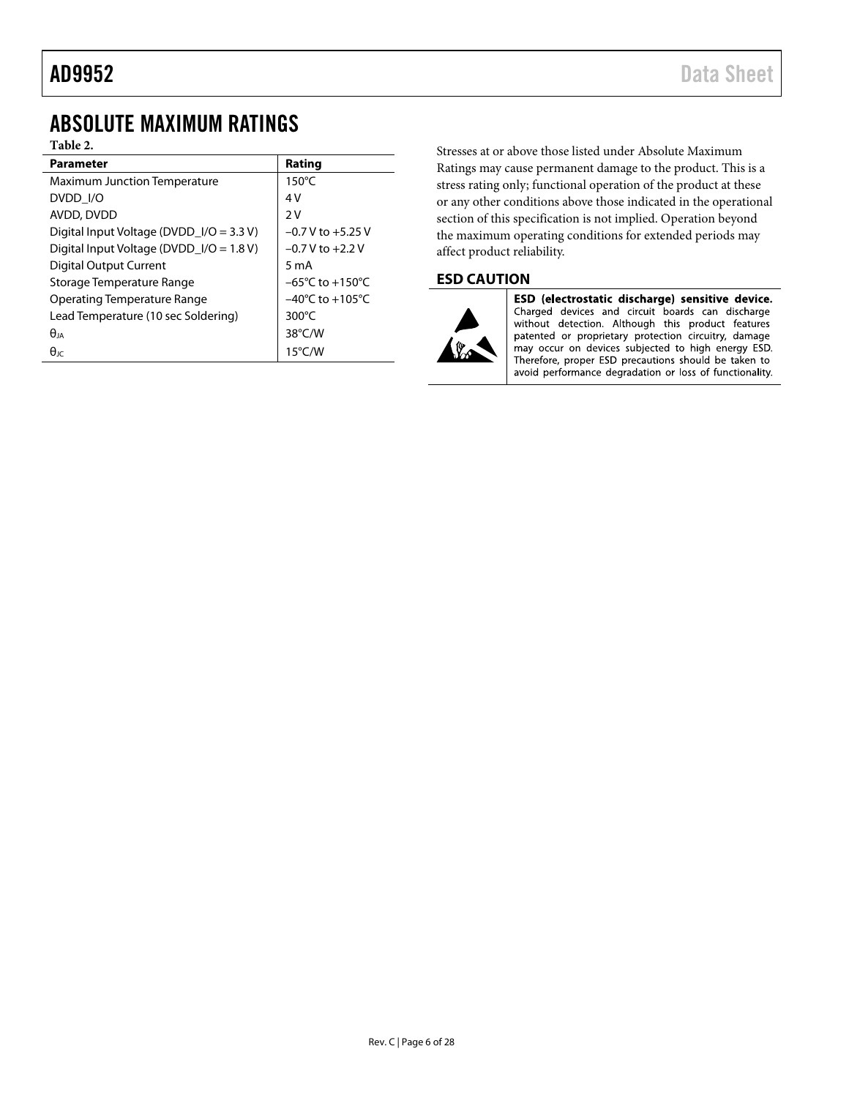## <span id="page-5-0"></span>ABSOLUTE MAXIMUM RATINGS

### **Table 2.**

| <b>Parameter</b>                           | Rating                              |
|--------------------------------------------|-------------------------------------|
| <b>Maximum Junction Temperature</b>        | $150^{\circ}$ C                     |
| DVDD I/O                                   | 4V                                  |
| AVDD, DVDD                                 | 2V                                  |
| Digital Input Voltage (DVDD_I/O = $3.3$ V) | $-0.7$ V to $+5.25$ V               |
| Digital Input Voltage (DVDD_I/O = 1.8 V)   | $-0.7$ V to $+2.2$ V                |
| <b>Digital Output Current</b>              | $5 \text{ mA}$                      |
| Storage Temperature Range                  | $-65^{\circ}$ C to $+150^{\circ}$ C |
| <b>Operating Temperature Range</b>         | $-40^{\circ}$ C to $+105^{\circ}$ C |
| Lead Temperature (10 sec Soldering)        | 300 $\degree$ C                     |
| $\theta_{IA}$                              | $38^{\circ}$ C/W                    |
| $\theta$ ıc                                | $15^{\circ}$ C/W                    |

Stresses at or above those listed under Absolute Maximum Ratings may cause permanent damage to the product. This is a stress rating only; functional operation of the product at these or any other conditions above those indicated in the operational section of this specification is not implied. Operation beyond the maximum operating conditions for extended periods may affect product reliability.

### <span id="page-5-1"></span>**ESD CAUTION**



ESD (electrostatic discharge) sensitive device. Charged devices and circuit boards can discharge without detection. Although this product features patented or proprietary protection circuitry, damage may occur on devices subjected to high energy ESD. Therefore, proper ESD precautions should be taken to avoid performance degradation or loss of functionality.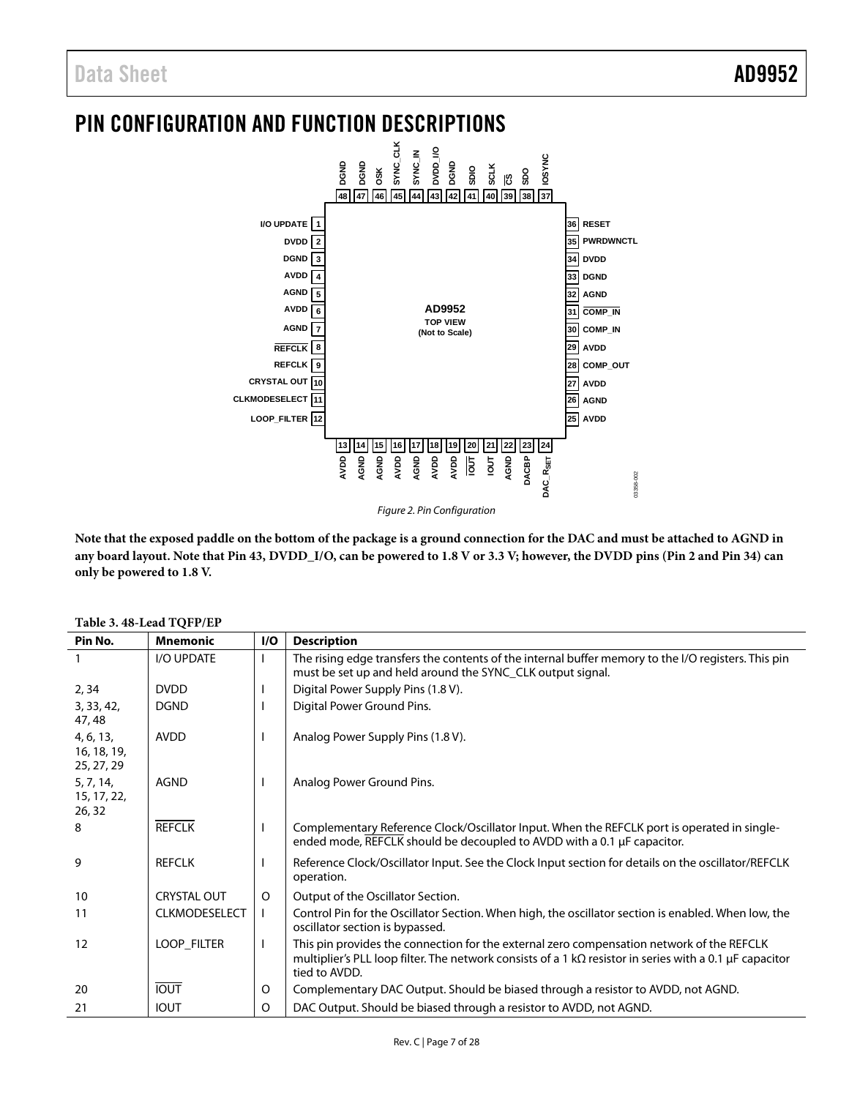# <span id="page-6-0"></span>PIN CONFIGURATION AND FUNCTION DESCRIPTIONS



*Figure 2. Pin Configuration*

**Note that the exposed paddle on the bottom of the package is a ground connection for the DAC and must be attached to AGND in any board layout. Note that Pin 43, DVDD\_I/O, can be powered to 1.8 V or 3.3 V; however, the DVDD pins (Pin 2 and Pin 34) can only be powered to 1.8 V.**

| Pin No.                                | <b>Mnemonic</b>      | I/O          | <b>Description</b>                                                                                                                                                                                                            |
|----------------------------------------|----------------------|--------------|-------------------------------------------------------------------------------------------------------------------------------------------------------------------------------------------------------------------------------|
|                                        | I/O UPDATE           |              | The rising edge transfers the contents of the internal buffer memory to the I/O registers. This pin<br>must be set up and held around the SYNC CLK output signal.                                                             |
| 2, 34                                  | <b>DVDD</b>          |              | Digital Power Supply Pins (1.8 V).                                                                                                                                                                                            |
| 3, 33, 42,<br>47, 48                   | <b>DGND</b>          |              | Digital Power Ground Pins.                                                                                                                                                                                                    |
| 4, 6, 13,<br>16, 18, 19,<br>25, 27, 29 | <b>AVDD</b>          |              | Analog Power Supply Pins (1.8 V).                                                                                                                                                                                             |
| 5, 7, 14,<br>15, 17, 22,<br>26, 32     | <b>AGND</b>          |              | Analog Power Ground Pins.                                                                                                                                                                                                     |
| 8                                      | <b>REFCLK</b>        | $\mathbf{I}$ | Complementary Reference Clock/Oscillator Input. When the REFCLK port is operated in single-<br>ended mode, REFCLK should be decoupled to AVDD with a 0.1 µF capacitor.                                                        |
| 9                                      | <b>REFCLK</b>        |              | Reference Clock/Oscillator Input. See the Clock Input section for details on the oscillator/REFCLK<br>operation.                                                                                                              |
| 10                                     | <b>CRYSTAL OUT</b>   | $\circ$      | Output of the Oscillator Section.                                                                                                                                                                                             |
| 11                                     | <b>CLKMODESELECT</b> | $\mathbf{I}$ | Control Pin for the Oscillator Section. When high, the oscillator section is enabled. When low, the<br>oscillator section is bypassed.                                                                                        |
| 12                                     | LOOP_FILTER          | $\mathbf{L}$ | This pin provides the connection for the external zero compensation network of the REFCLK<br>multiplier's PLL loop filter. The network consists of a 1 k $\Omega$ resistor in series with a 0.1 µF capacitor<br>tied to AVDD. |
| 20                                     | <b>IOUT</b>          | 0            | Complementary DAC Output. Should be biased through a resistor to AVDD, not AGND.                                                                                                                                              |
| 21                                     | <b>IOUT</b>          | O            | DAC Output. Should be biased through a resistor to AVDD, not AGND.                                                                                                                                                            |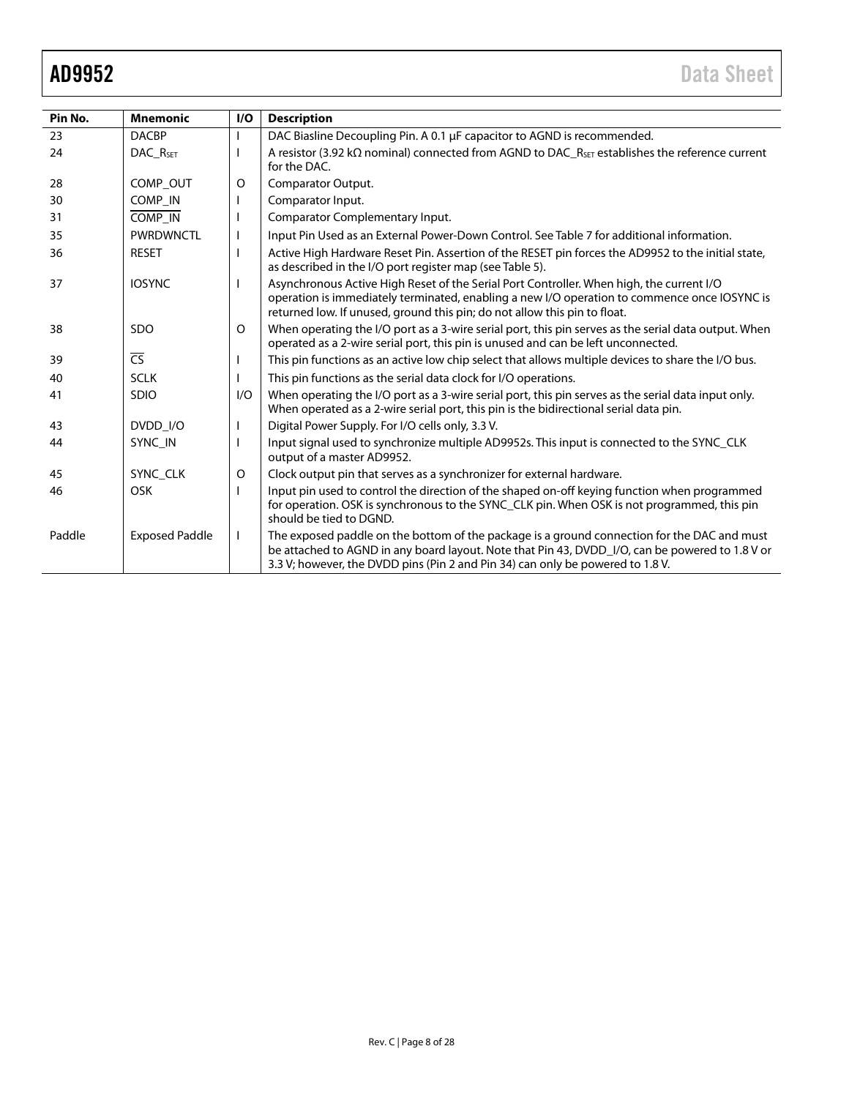| Pin No. | <b>Mnemonic</b>        | I/O      | <b>Description</b>                                                                                                                                                                                                                                                               |
|---------|------------------------|----------|----------------------------------------------------------------------------------------------------------------------------------------------------------------------------------------------------------------------------------------------------------------------------------|
| 23      | <b>DACBP</b>           |          | DAC Biasline Decoupling Pin. A 0.1 µF capacitor to AGND is recommended.                                                                                                                                                                                                          |
| 24      | DAC R <sub>SET</sub>   |          | A resistor (3.92 k $\Omega$ nominal) connected from AGND to DAC_R <sub>SET</sub> establishes the reference current<br>for the DAC.                                                                                                                                               |
| 28      | COMP_OUT               | O        | Comparator Output.                                                                                                                                                                                                                                                               |
| 30      | COMP_IN                |          | Comparator Input.                                                                                                                                                                                                                                                                |
| 31      | COMP_IN                |          | Comparator Complementary Input.                                                                                                                                                                                                                                                  |
| 35      | <b>PWRDWNCTL</b>       |          | Input Pin Used as an External Power-Down Control. See Table 7 for additional information.                                                                                                                                                                                        |
| 36      | <b>RESET</b>           |          | Active High Hardware Reset Pin. Assertion of the RESET pin forces the AD9952 to the initial state,<br>as described in the I/O port register map (see Table 5).                                                                                                                   |
| 37      | <b>IOSYNC</b>          |          | Asynchronous Active High Reset of the Serial Port Controller. When high, the current I/O<br>operation is immediately terminated, enabling a new I/O operation to commence once IOSYNC is<br>returned low. If unused, ground this pin; do not allow this pin to float.            |
| 38      | <b>SDO</b>             | $\Omega$ | When operating the I/O port as a 3-wire serial port, this pin serves as the serial data output. When<br>operated as a 2-wire serial port, this pin is unused and can be left unconnected.                                                                                        |
| 39      | $\overline{\text{CS}}$ |          | This pin functions as an active low chip select that allows multiple devices to share the I/O bus.                                                                                                                                                                               |
| 40      | <b>SCLK</b>            |          | This pin functions as the serial data clock for I/O operations.                                                                                                                                                                                                                  |
| 41      | <b>SDIO</b>            | I/O      | When operating the I/O port as a 3-wire serial port, this pin serves as the serial data input only.<br>When operated as a 2-wire serial port, this pin is the bidirectional serial data pin.                                                                                     |
| 43      | DVDD I/O               |          | Digital Power Supply. For I/O cells only, 3.3 V.                                                                                                                                                                                                                                 |
| 44      | SYNC IN                |          | Input signal used to synchronize multiple AD9952s. This input is connected to the SYNC_CLK<br>output of a master AD9952.                                                                                                                                                         |
| 45      | SYNC CLK               | $\circ$  | Clock output pin that serves as a synchronizer for external hardware.                                                                                                                                                                                                            |
| 46      | <b>OSK</b>             |          | Input pin used to control the direction of the shaped on-off keying function when programmed<br>for operation. OSK is synchronous to the SYNC_CLK pin. When OSK is not programmed, this pin<br>should be tied to DGND.                                                           |
| Paddle  | <b>Exposed Paddle</b>  |          | The exposed paddle on the bottom of the package is a ground connection for the DAC and must<br>be attached to AGND in any board layout. Note that Pin 43, DVDD_I/O, can be powered to 1.8 V or<br>3.3 V; however, the DVDD pins (Pin 2 and Pin 34) can only be powered to 1.8 V. |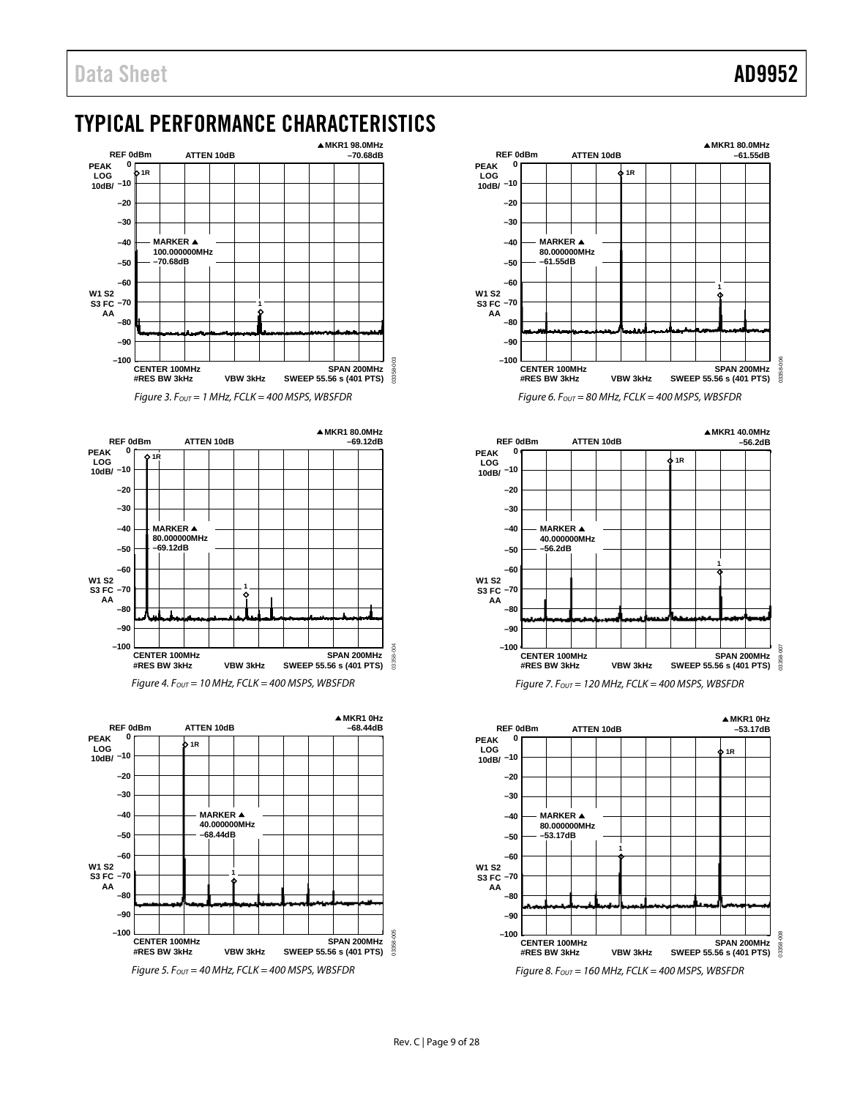# <span id="page-8-0"></span>TYPICAL PERFORMANCE CHARACTERISTICS



*Figure 3. FOUT = 1 MHz, FCLK = 400 MSPS, WBSFDR*





*Figure 5. FOUT = 40 MHz, FCLK = 400 MSPS, WBSFDR*



*Figure 6. FOUT = 80 MHz, FCLK = 400 MSPS, WBSFDR*



**MKR1 0Hz REF 0dBm ATTEN 10dB –53.17dB 0 PEAK LOG 1R –10 10dB/ –20 –30 –40 MARKER 80.000000MHz –50 –53.17dB 1 –60 W1 S2 –70 S3 FC AA –80 –90 –100** 03358-008 **CENTER 100MHz SPAN 200MHz** 03358 **VBW 3kHz SWEEP 55.56 s (401 PTS) #RES BW 3kHz**

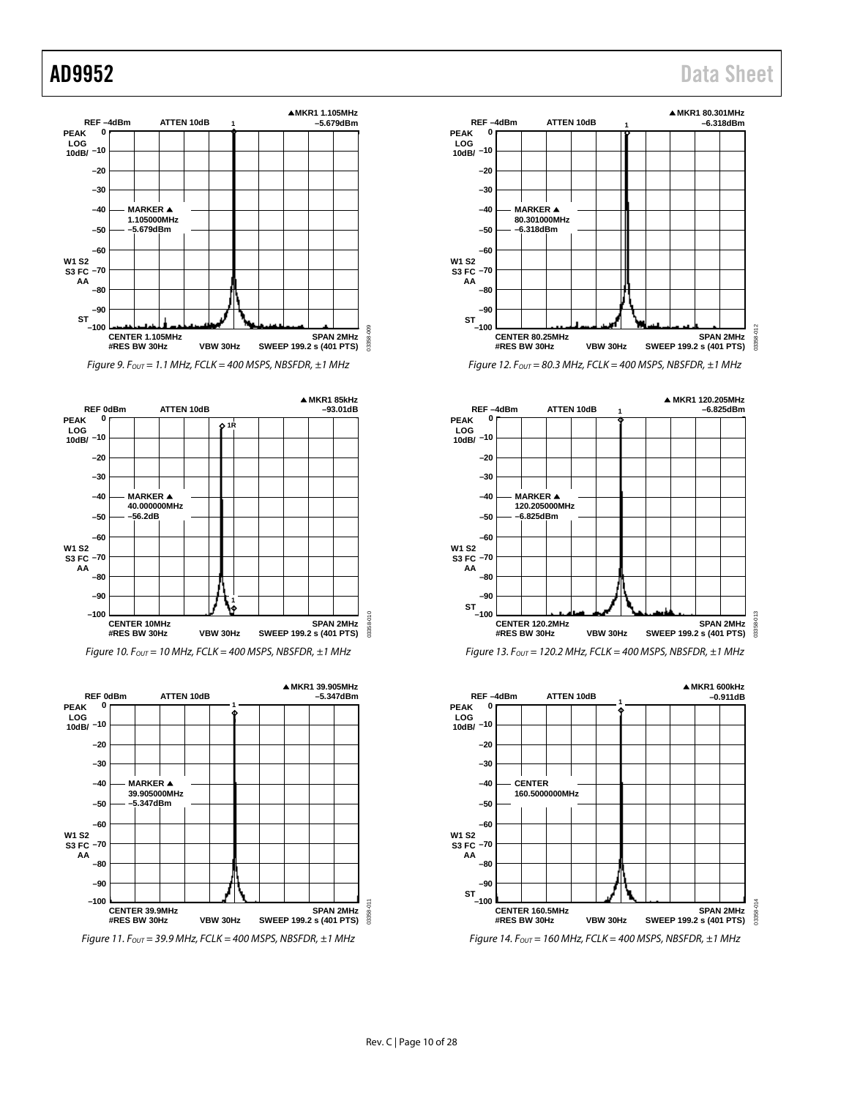#### **MKR1 1.105MHz REF –4dBm ATTEN 10dB 1 –5.679dBm PEAK 0 LOG –10 10dB/ –20 –30 MARKER –40 1.105000MHz –5.679dBm –50 –60 W1 S2 –70 S3 FC AA –80 –90 ST –100** g 03358-009 **CENTER 1.105MHz SPAN 2MHz** 03358-**SWEEP 199.2 s (401 PTS) #RES BW 30Hz VBW 30Hz** *Figure 9. FOUT = 1.1 MHz, FCLK = 400 MSPS, NBSFDR, ±1 MHz*

**MKR1 85kHz REF 0dBm ATTEN 10dB –93.01dB PEAK 0 1R** ¢ **LOG –10 10dB/ –20 –30 –40 MARKER 40.000000MHz –50 –56.2dB –60 W1 S2 –70 S3 FC AA –80 –90 1 –100** 03358-010 **CENTER 10MHz SPAN 2MHz** 13358-0 **#RES BW 30Hz VBW 30Hz SWEEP 199.2 s (401 PTS)**

*Figure 10. FOUT = 10 MHz, FCLK = 400 MSPS, NBSFDR, ±1 MHz*





## AD9952 Data Sheet



*Figure 12. FOUT = 80.3 MHz, FCLK = 400 MSPS, NBSFDR, ±1 MHz*



*Figure 13. FOUT = 120.2 MHz, FCLK = 400 MSPS, NBSFDR, ±1 MHz*



*Figure 14. FOUT = 160 MHz, FCLK = 400 MSPS, NBSFDR, ±1 MHz*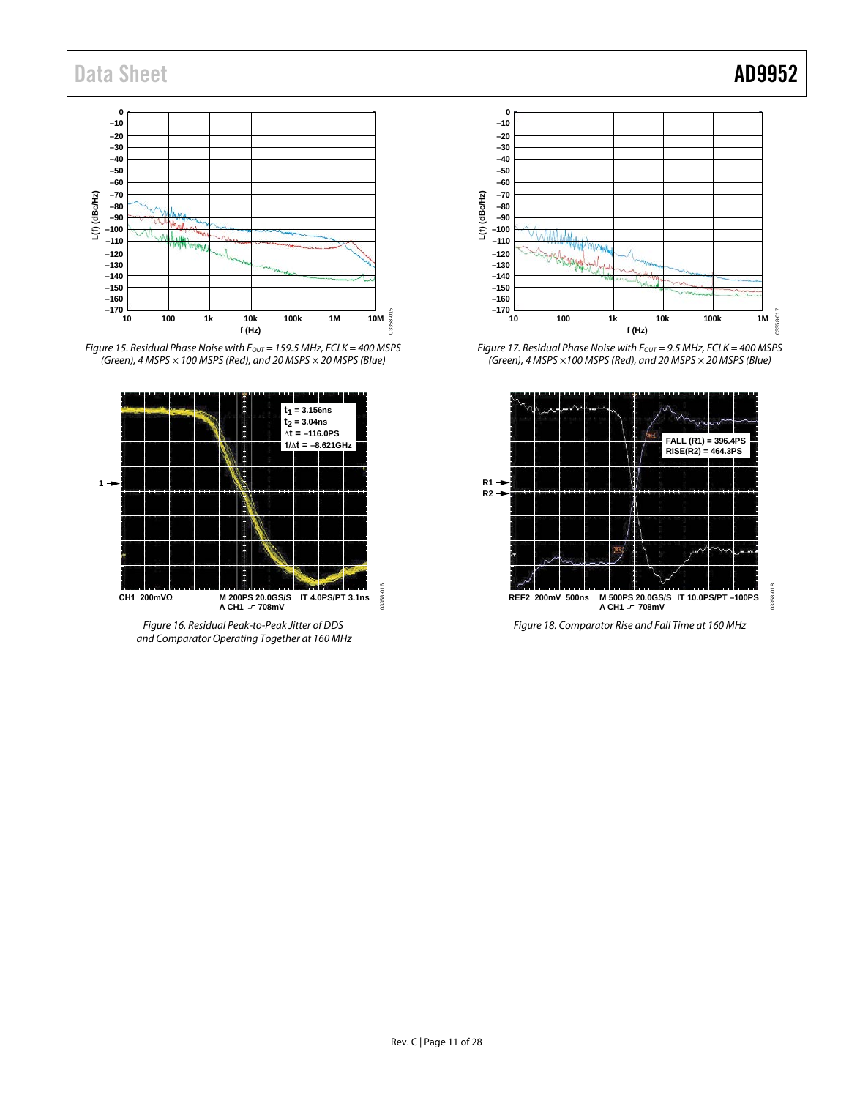

*Figure 15. Residual Phase Noise with Fout* = 159.5 MHz, FCLK = 400 MSPS *(Green), 4 MSPS × 100 MSPS (Red), and 20 MSPS × 20 MSPS (Blue)*



*Figure 16. Residual Peak-to-Peak Jitter of DDS and Comparator Operating Together at 160 MHz*



*Figure 17. Residual Phase Noise with FOUT = 9.5 MHz, FCLK = 400 MSPS (Green), 4 MSPS ×100 MSPS (Red), and 20 MSPS × 20 MSPS (Blue)*



*Figure 18. Comparator Rise and Fall Time at 160 MHz*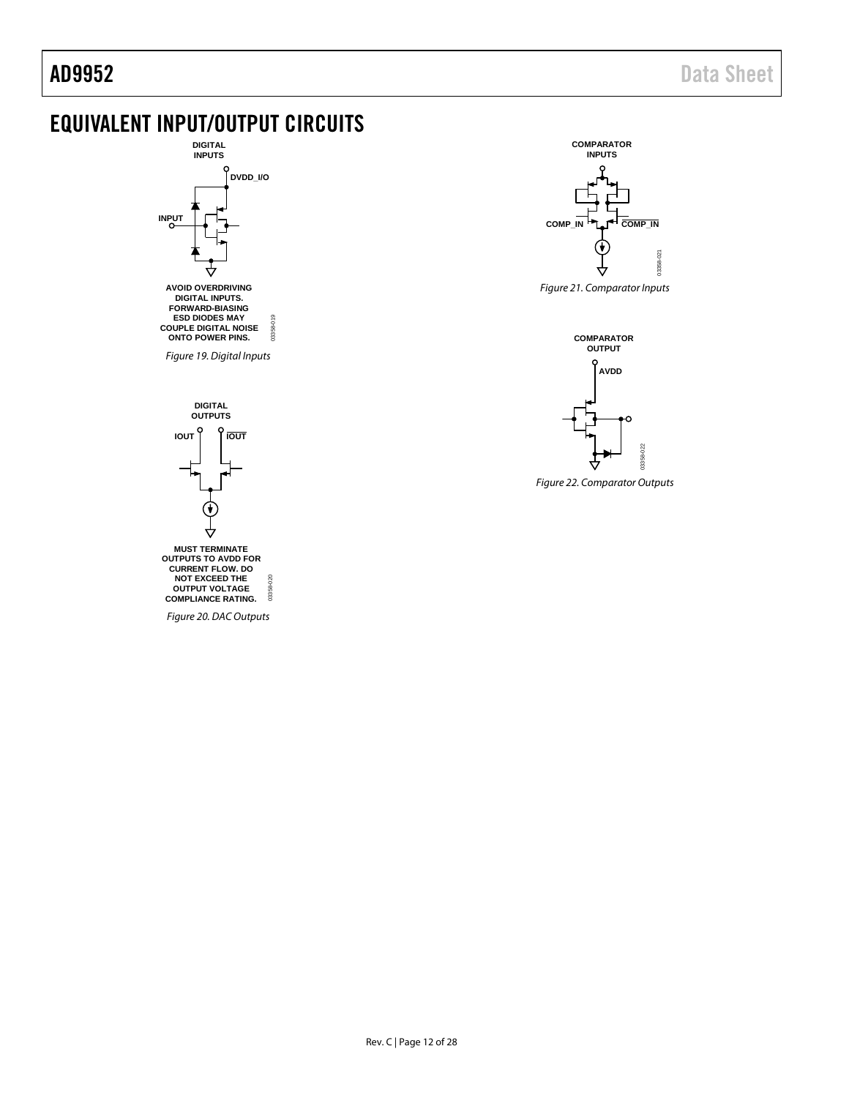#### <span id="page-11-0"></span>EQUIVALENT INPUT/OUTPUT CIRCUITS **DIGITAL INPUTS COMPARATOR INPUTS DVDD\_I/O INPUT** COMP\_IN **PLA** COMP\_IN ₩  $-021$ 03358-021 358 *Figure 21. Comparator Inputs* **AVOID OVERDRIVING DIGITAL INPUTS. FORWARD-BIASING ESD DIODES MAY COUPLE DIGITAL NOISE** 03358-019 03358-019 **ONTO POWER PINS. COMPARATOR OUTPUT** *Figure 19. Digital Inputs* **AVDD DIGITAL OUTPUTS IOUT IOUT** 03358-022 *Figure 22. Comparator Outputs***MUST TERMINATE OUTPUTS TO AVDD FOR CURRENT FLOW. DO**  $200$ **NOT EXCEED THE OUTPUT VOLTAGE** 03358-020 03358 **COMPLIANCE RATING.** *Figure 20. DAC Outputs*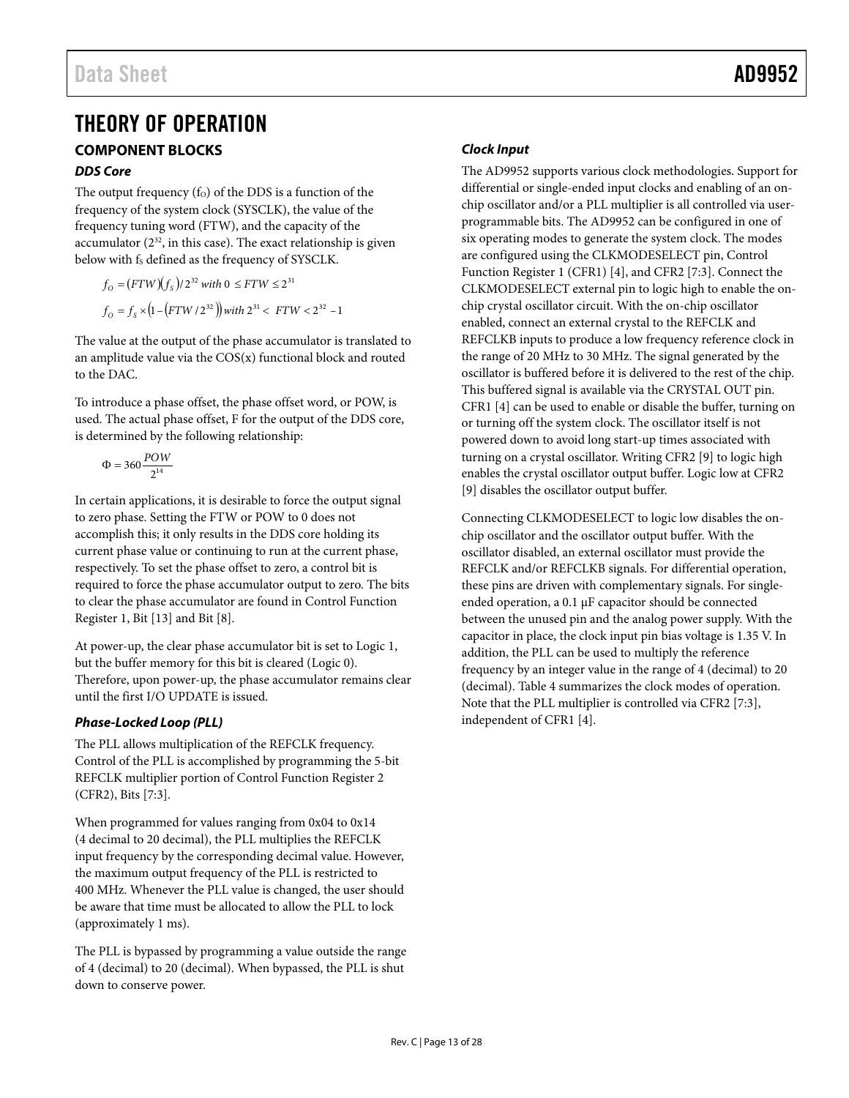### <span id="page-12-1"></span><span id="page-12-0"></span>THEORY OF OPERATION **COMPONENT BLOCKS**

#### *DDS Core*

The output frequency  $(f<sub>O</sub>)$  of the DDS is a function of the frequency of the system clock (SYSCLK), the value of the frequency tuning word (FTW), and the capacity of the accumulator  $(2^{32}$ , in this case). The exact relationship is given below with fs defined as the frequency of SYSCLK.

$$
f_{\rm O} = (FTW)(f_{\rm S})/2^{32} \text{ with } 0 \le FTW \le 2^{31}
$$
  

$$
f_{\rm O} = f_{\rm S} \times (1 - (FTW/2^{32})) \text{ with } 2^{31} < FTW < 2^{32} - 1
$$

The value at the output of the phase accumulator is translated to an amplitude value via the COS(x) functional block and routed to the DAC.

To introduce a phase offset, the phase offset word, or POW, is used. The actual phase offset, F for the output of the DDS core, is determined by the following relationship:

$$
\Phi = 360 \frac{POW}{2^{14}}
$$

In certain applications, it is desirable to force the output signal to zero phase. Setting the FTW or POW to 0 does not accomplish this; it only results in the DDS core holding its current phase value or continuing to run at the current phase, respectively. To set the phase offset to zero, a control bit is required to force the phase accumulator output to zero. The bits to clear the phase accumulator are found in Control Function Register 1, Bit [13] and Bit [8].

At power-up, the clear phase accumulator bit is set to Logic 1, but the buffer memory for this bit is cleared (Logic 0). Therefore, upon power-up, the phase accumulator remains clear until the first I/O UPDATE is issued.

### <span id="page-12-3"></span>*Phase-Locked Loop (PLL)*

The PLL allows multiplication of the REFCLK frequency. Control of the PLL is accomplished by programming the 5-bit REFCLK multiplier portion of Control Function Register 2 (CFR2), Bits [7:3].

When programmed for values ranging from 0x04 to 0x14 (4 decimal to 20 decimal), the PLL multiplies the REFCLK input frequency by the corresponding decimal value. However, the maximum output frequency of the PLL is restricted to 400 MHz. Whenever the PLL value is changed, the user should be aware that time must be allocated to allow the PLL to lock (approximately 1 ms).

The PLL is bypassed by programming a value outside the range of 4 (decimal) to 20 (decimal). When bypassed, the PLL is shut down to conserve power.

### <span id="page-12-2"></span>*Clock Input*

The AD9952 supports various clock methodologies. Support for differential or single-ended input clocks and enabling of an onchip oscillator and/or a PLL multiplier is all controlled via userprogrammable bits. The AD9952 can be configured in one of six operating modes to generate the system clock. The modes are configured using the CLKMODESELECT pin, Control Function Register 1 (CFR1) [4], and CFR2 [7:3]. Connect the CLKMODESELECT external pin to logic high to enable the onchip crystal oscillator circuit. With the on-chip oscillator enabled, connect an external crystal to the REFCLK and REFCLKB inputs to produce a low frequency reference clock in the range of 20 MHz to 30 MHz. The signal generated by the oscillator is buffered before it is delivered to the rest of the chip. This buffered signal is available via the CRYSTAL OUT pin. CFR1 [4] can be used to enable or disable the buffer, turning on or turning off the system clock. The oscillator itself is not powered down to avoid long start-up times associated with turning on a crystal oscillator. Writing CFR2 [9] to logic high enables the crystal oscillator output buffer. Logic low at CFR2 [9] disables the oscillator output buffer.

Connecting CLKMODESELECT to logic low disables the onchip oscillator and the oscillator output buffer. With the oscillator disabled, an external oscillator must provide the REFCLK and/or REFCLKB signals. For differential operation, these pins are driven with complementary signals. For singleended operation, a 0.1 µF capacitor should be connected between the unused pin and the analog power supply. With the capacitor in place, the clock input pin bias voltage is 1.35 V. In addition, the PLL can be used to multiply the reference frequency by an integer value in the range of 4 (decimal) to 20 (decimal). [Table 4](#page-13-0) summarizes the clock modes of operation. Note that the PLL multiplier is controlled via CFR2 [7:3], independent of CFR1 [4].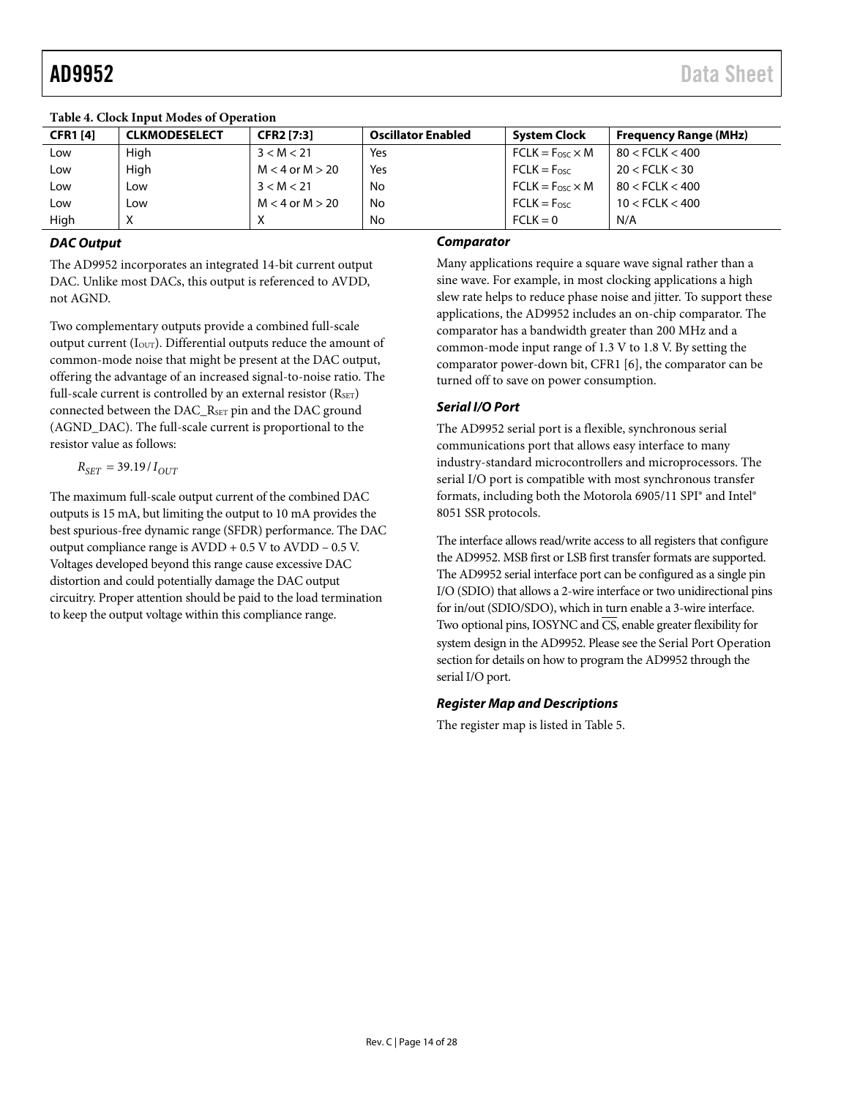| Table 7. Clock mode modes of Oberation |                      |                     |                           |                         |                              |  |  |  |  |
|----------------------------------------|----------------------|---------------------|---------------------------|-------------------------|------------------------------|--|--|--|--|
| <b>CFR1 [4]</b>                        | <b>CLKMODESELECT</b> | <b>CFR2 [7:3]</b>   | <b>Oscillator Enabled</b> | <b>System Clock</b>     | <b>Frequency Range (MHz)</b> |  |  |  |  |
| Low                                    | High                 | 3 < M < 21          | Yes                       | $FCLK = Fosc \times M$  | $80 <$ FCLK $< 400$          |  |  |  |  |
| Low                                    | High                 | $M < 4$ or $M > 20$ | Yes                       | $FCLK = F_{\text{osc}}$ | 20 < FCLK < 30               |  |  |  |  |
| Low                                    | Low                  | 3 < M < 21          | No                        | $FCLK = Fosc \times M$  | $80 <$ FCLK $<$ 400          |  |  |  |  |
| Low                                    | LOW                  | $M < 4$ or $M > 20$ | No                        | $FCLK = Fosc$           | $10 <$ FCLK $< 400$          |  |  |  |  |
| High                                   | $\checkmark$<br>◠    |                     | No                        | $FCLK = 0$              | N/A                          |  |  |  |  |

#### <span id="page-13-0"></span>**Table 4. Clock Input Modes of Operation**

#### *DAC Output*

The AD9952 incorporates an integrated 14-bit current output DAC. Unlike most DACs, this output is referenced to AVDD, not AGND.

Two complementary outputs provide a combined full-scale output current ( $I<sub>OUT</sub>$ ). Differential outputs reduce the amount of common-mode noise that might be present at the DAC output, offering the advantage of an increased signal-to-noise ratio. The full-scale current is controlled by an external resistor  $(R<sub>SET</sub>)$ connected between the DAC\_RSET pin and the DAC ground (AGND\_DAC). The full-scale current is proportional to the resistor value as follows:

$$
R_{SET} = 39.19 \, I_{OUT}
$$

The maximum full-scale output current of the combined DAC outputs is 15 mA, but limiting the output to 10 mA provides the best spurious-free dynamic range (SFDR) performance. The DAC output compliance range is AVDD + 0.5 V to AVDD – 0.5 V. Voltages developed beyond this range cause excessive DAC distortion and could potentially damage the DAC output circuitry. Proper attention should be paid to the load termination to keep the output voltage within this compliance range.

#### *Comparator*

Many applications require a square wave signal rather than a sine wave. For example, in most clocking applications a high slew rate helps to reduce phase noise and jitter. To support these applications, the AD9952 includes an on-chip comparator. The comparator has a bandwidth greater than 200 MHz and a common-mode input range of 1.3 V to 1.8 V. By setting the comparator power-down bit, CFR1 [6], the comparator can be turned off to save on power consumption.

#### *Serial I/O Port*

The AD9952 serial port is a flexible, synchronous serial communications port that allows easy interface to many industry-standard microcontrollers and microprocessors. The serial I/O port is compatible with most synchronous transfer formats, including both the Motorola 6905/11 SPI® and Intel® 8051 SSR protocols.

The interface allows read/write access to all registers that configure the AD9952. MSB first or LSB first transfer formats are supported. The AD9952 serial interface port can be configured as a single pin I/O (SDIO) that allows a 2-wire interface or two unidirectional pins for in/out (SDIO/SDO), which in turn enable a 3-wire interface. Two optional pins, IOSYNC and  $\overline{\text{CS}}$ , enable greater flexibility for system design in the AD9952. Please see th[e Serial Port Operation](#page-19-1) section for details on how to program the AD9952 through the serial I/O port.

#### *Register Map and Descriptions*

The register map is listed in [Table 5.](#page-14-0)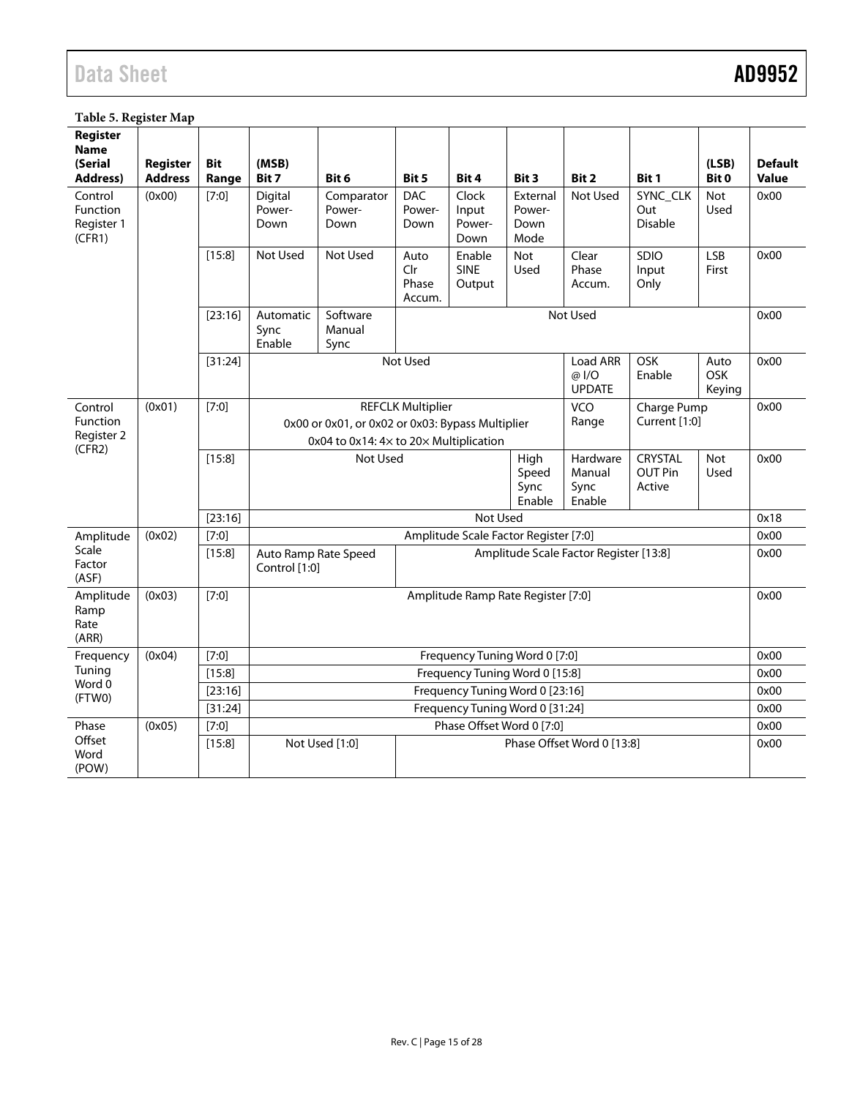#### <span id="page-14-0"></span>**Table 5. Register Map**

| Register<br><b>Name</b><br>(Serial<br><b>Address)</b> | Register<br><b>Address</b> | <b>Bit</b><br>Range | (MSB)<br>Bit 7                                                                                                                                                         | Bit 6                        | Bit 5                          | Bit 4                            | Bit 3                                | Bit 2                               | Bit 1                             | (LSB)<br>Bit 0               | <b>Default</b><br><b>Value</b> |
|-------------------------------------------------------|----------------------------|---------------------|------------------------------------------------------------------------------------------------------------------------------------------------------------------------|------------------------------|--------------------------------|----------------------------------|--------------------------------------|-------------------------------------|-----------------------------------|------------------------------|--------------------------------|
| Control<br>Function<br>Register 1<br>(CFR1)           | (0x00)                     | [7:0]               | Digital<br>Power-<br>Down                                                                                                                                              | Comparator<br>Power-<br>Down | <b>DAC</b><br>Power-<br>Down   | Clock<br>Input<br>Power-<br>Down | External<br>Power-<br>Down<br>Mode   | Not Used                            | SYNC_CLK<br>Out<br><b>Disable</b> | <b>Not</b><br>Used           | 0x00                           |
|                                                       |                            | [15:8]              | Not Used                                                                                                                                                               | Not Used                     | Auto<br>Clr<br>Phase<br>Accum. | Enable<br><b>SINE</b><br>Output  | <b>Not</b><br>Used                   | Clear<br>Phase<br>Accum.            | SDIO<br>Input<br>Only             | <b>LSB</b><br>First          | 0x00                           |
|                                                       |                            | [23:16]             | Automatic<br>Sync<br>Enable                                                                                                                                            | Software<br>Manual<br>Sync   | Not Used                       |                                  |                                      |                                     |                                   | 0x00                         |                                |
|                                                       |                            | [31:24]             |                                                                                                                                                                        |                              | Not Used                       |                                  |                                      | Load ARR<br>@I/O<br><b>UPDATE</b>   | OSK<br>Enable                     | Auto<br><b>OSK</b><br>Keying | 0x00                           |
| Control<br>Function<br>Register 2<br>(CFR2)           | (0x01)                     | [7:0]               | VCO<br><b>REFCLK Multiplier</b><br>Charge Pump<br>Current [1:0]<br>Range<br>0x00 or 0x01, or 0x02 or 0x03: Bypass Multiplier<br>0x04 to 0x14: 4x to 20x Multiplication |                              |                                |                                  |                                      |                                     | 0x00                              |                              |                                |
|                                                       |                            | [15:8]              | Not Used                                                                                                                                                               |                              |                                | High<br>Speed<br>Sync<br>Enable  | Hardware<br>Manual<br>Sync<br>Enable | CRYSTAL<br><b>OUT Pin</b><br>Active | <b>Not</b><br><b>Used</b>         | 0x00                         |                                |
|                                                       |                            | [23:16]             |                                                                                                                                                                        |                              |                                | Not Used                         |                                      |                                     |                                   |                              | 0x18                           |
| Amplitude<br>(0x02)<br>$[7:0]$                        |                            |                     | Amplitude Scale Factor Register [7:0]                                                                                                                                  |                              |                                |                                  |                                      |                                     |                                   |                              |                                |
| Scale<br>Factor<br>(ASF)                              |                            | [15:8]              | Amplitude Scale Factor Register [13:8]<br>Auto Ramp Rate Speed<br>Control [1:0]                                                                                        |                              |                                |                                  |                                      | 0x00                                |                                   |                              |                                |
| Amplitude<br>Ramp<br>Rate<br>(ARR)                    | (0x03)                     | $[7:0]$             | Amplitude Ramp Rate Register [7:0]                                                                                                                                     |                              |                                |                                  |                                      |                                     | 0x00                              |                              |                                |
| Frequency                                             | (0x04)                     | $[7:0]$             | Frequency Tuning Word 0 [7:0]                                                                                                                                          |                              |                                |                                  |                                      |                                     |                                   | 0x00                         |                                |
| Tuning                                                |                            | [15:8]              |                                                                                                                                                                        |                              |                                | Frequency Tuning Word 0 [15:8]   |                                      |                                     |                                   |                              | 0x00                           |
| Word 0<br>(FTWO)                                      |                            | [23:16]             |                                                                                                                                                                        |                              |                                | Frequency Tuning Word 0 [23:16]  |                                      |                                     |                                   |                              | 0x00                           |
|                                                       |                            | [31:24]             |                                                                                                                                                                        |                              |                                | Frequency Tuning Word 0 [31:24]  |                                      |                                     |                                   |                              | 0x00                           |
| Phase                                                 | (0x05)                     | $[7:0]$             |                                                                                                                                                                        |                              |                                | Phase Offset Word 0 [7:0]        |                                      |                                     |                                   |                              | 0x00                           |
| Offset<br>Word<br>(POW)                               |                            | [15:8]              |                                                                                                                                                                        | Not Used [1:0]               |                                |                                  |                                      | Phase Offset Word 0 [13:8]          |                                   |                              | 0x00                           |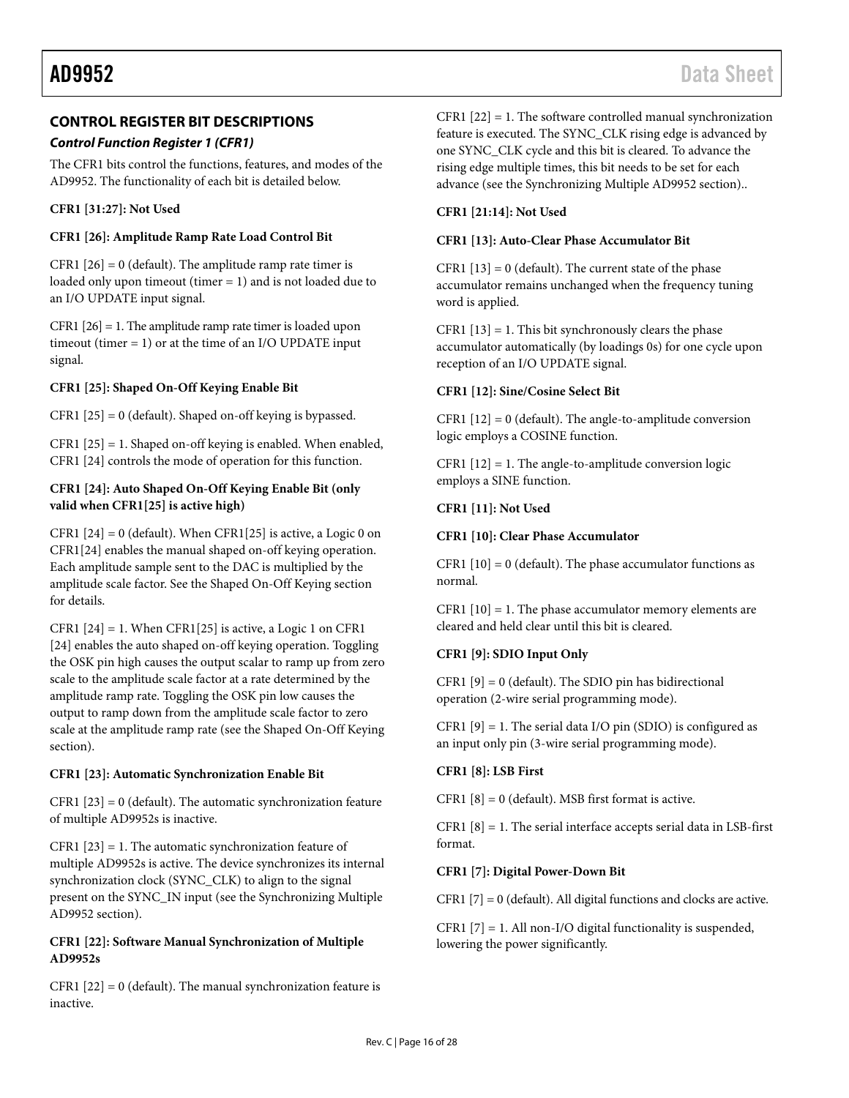### <span id="page-15-0"></span>**CONTROL REGISTER BIT DESCRIPTIONS**

#### *Control Function Register 1 (CFR1)*

The CFR1 bits control the functions, features, and modes of the AD9952. The functionality of each bit is detailed below.

#### **CFR1 [31:27]: Not Used**

#### **CFR1 [26]: Amplitude Ramp Rate Load Control Bit**

CFR1  $[26] = 0$  (default). The amplitude ramp rate timer is loaded only upon timeout (timer = 1) and is not loaded due to an I/O UPDATE input signal.

CFR1 [26] = 1. The amplitude ramp rate timer is loaded upon timeout (timer = 1) or at the time of an I/O UPDATE input signal.

#### **CFR1 [25]: Shaped On-Off Keying Enable Bit**

CFR1 [25] = 0 (default). Shaped on-off keying is bypassed.

CFR1 [25] = 1. Shaped on-off keying is enabled. When enabled, CFR1 [24] controls the mode of operation for this function.

#### **CFR1 [24]: Auto Shaped On-Off Keying Enable Bit (only valid when CFR1[25] is active high)**

CFR1  $[24] = 0$  (default). When CFR1 $[25]$  is active, a Logic 0 on CFR1[24] enables the manual shaped on-off keying operation. Each amplitude sample sent to the DAC is multiplied by the amplitude scale factor. See the [Shaped On-Off Keying](#page-17-3) section for details.

CFR1  $[24] = 1$ . When CFR1 $[25]$  is active, a Logic 1 on CFR1 [24] enables the auto shaped on-off keying operation. Toggling the OSK pin high causes the output scalar to ramp up from zero scale to the amplitude scale factor at a rate determined by the amplitude ramp rate. Toggling the OSK pin low causes the output to ramp down from the amplitude scale factor to zero scale at the amplitude ramp rate (see th[e Shaped On-Off Keying](#page-17-3) section).

#### **CFR1 [23]: Automatic Synchronization Enable Bit**

CFR1  $[23] = 0$  (default). The automatic synchronization feature of multiple AD9952s is inactive.

CFR1 [23] = 1. The automatic synchronization feature of multiple AD9952s is active. The device synchronizes its internal synchronization clock (SYNC\_CLK) to align to the signal present on the SYNC\_IN input (see the [Synchronizing Multiple](#page-19-0)  [AD9952](#page-19-0) section).

#### **CFR1 [22]: Software Manual Synchronization of Multiple AD9952s**

CFR1  $[22] = 0$  (default). The manual synchronization feature is inactive.

CFR1 [22] = 1. The software controlled manual synchronization feature is executed. The SYNC\_CLK rising edge is advanced by one SYNC\_CLK cycle and this bit is cleared. To advance the rising edge multiple times, this bit needs to be set for each advance (see the [Synchronizing Multiple AD9952](#page-19-0) section)..

#### **CFR1 [21:14]: Not Used**

#### **CFR1 [13]: Auto-Clear Phase Accumulator Bit**

CFR1  $[13] = 0$  (default). The current state of the phase accumulator remains unchanged when the frequency tuning word is applied.

CFR1  $[13] = 1$ . This bit synchronously clears the phase accumulator automatically (by loadings 0s) for one cycle upon reception of an I/O UPDATE signal.

#### **CFR1 [12]: Sine/Cosine Select Bit**

CFR1  $[12] = 0$  (default). The angle-to-amplitude conversion logic employs a COSINE function.

CFR1  $[12] = 1$ . The angle-to-amplitude conversion logic employs a SINE function.

#### **CFR1 [11]: Not Used**

#### **CFR1 [10]: Clear Phase Accumulator**

CFR1  $[10] = 0$  (default). The phase accumulator functions as normal.

CFR1 [10] = 1. The phase accumulator memory elements are cleared and held clear until this bit is cleared.

#### **CFR1 [9]: SDIO Input Only**

CFR1  $[9] = 0$  (default). The SDIO pin has bidirectional operation (2-wire serial programming mode).

CFR1  $[9] = 1$ . The serial data I/O pin (SDIO) is configured as an input only pin (3-wire serial programming mode).

#### **CFR1 [8]: LSB First**

CFR1  $[8] = 0$  (default). MSB first format is active.

CFR1  $[8] = 1$ . The serial interface accepts serial data in LSB-first format.

#### **CFR1 [7]: Digital Power-Down Bit**

CFR1 [7] = 0 (default). All digital functions and clocks are active.

CFR1  $[7] = 1$ . All non-I/O digital functionality is suspended, lowering the power significantly.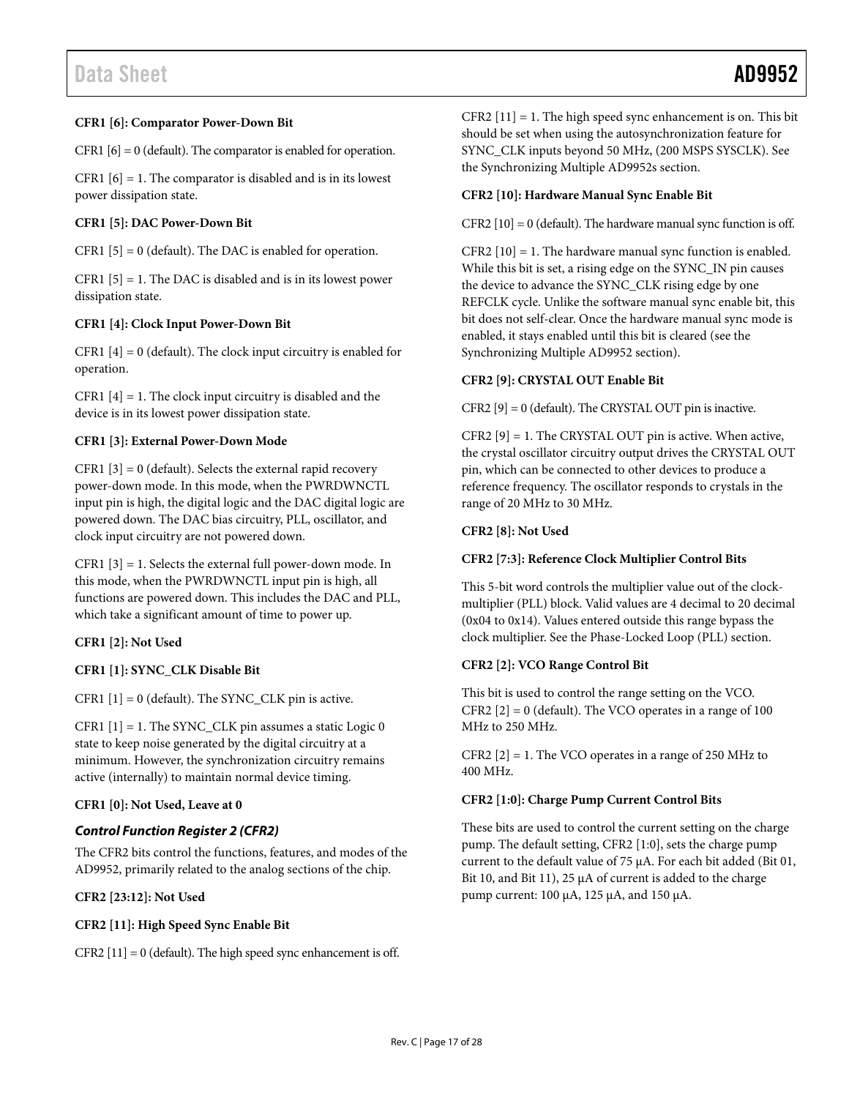#### **CFR1 [6]: Comparator Power-Down Bit**

CFR1  $[6] = 0$  (default). The comparator is enabled for operation.

CFR1  $[6] = 1$ . The comparator is disabled and is in its lowest power dissipation state.

#### **CFR1 [5]: DAC Power-Down Bit**

CFR1 [5] = 0 (default). The DAC is enabled for operation.

 $CFR1$  [5] = 1. The DAC is disabled and is in its lowest power dissipation state.

#### **CFR1 [4]: Clock Input Power-Down Bit**

CFR1  $[4] = 0$  (default). The clock input circuitry is enabled for operation.

CFR1  $[4] = 1$ . The clock input circuitry is disabled and the device is in its lowest power dissipation state.

#### **CFR1 [3]: External Power-Down Mode**

CFR1  $[3] = 0$  (default). Selects the external rapid recovery power-down mode. In this mode, when the PWRDWNCTL input pin is high, the digital logic and the DAC digital logic are powered down. The DAC bias circuitry, PLL, oscillator, and clock input circuitry are not powered down.

CFR1 [3] = 1. Selects the external full power-down mode. In this mode, when the PWRDWNCTL input pin is high, all functions are powered down. This includes the DAC and PLL, which take a significant amount of time to power up.

#### **CFR1 [2]: Not Used**

#### **CFR1 [1]: SYNC\_CLK Disable Bit**

CFR1  $[1] = 0$  (default). The SYNC\_CLK pin is active.

CFR1 [1] = 1. The SYNC\_CLK pin assumes a static Logic 0 state to keep noise generated by the digital circuitry at a minimum. However, the synchronization circuitry remains active (internally) to maintain normal device timing.

#### **CFR1 [0]: Not Used, Leave at 0**

#### *Control Function Register 2 (CFR2)*

The CFR2 bits control the functions, features, and modes of the AD9952, primarily related to the analog sections of the chip.

**CFR2 [23:12]: Not Used**

#### **CFR2 [11]: High Speed Sync Enable Bit**

CFR2  $[11] = 0$  (default). The high speed sync enhancement is off.

CFR2  $[11] = 1$ . The high speed sync enhancement is on. This bit should be set when using the autosynchronization feature for SYNC\_CLK inputs beyond 50 MHz, (200 MSPS SYSCLK). See the [Synchronizing Multiple AD9952s](#page-19-0) section.

#### **CFR2 [10]: Hardware Manual Sync Enable Bit**

CFR2  $[10] = 0$  (default). The hardware manual sync function is off.

CFR2 [10] = 1. The hardware manual sync function is enabled. While this bit is set, a rising edge on the SYNC\_IN pin causes the device to advance the SYNC\_CLK rising edge by one REFCLK cycle. Unlike the software manual sync enable bit, this bit does not self-clear. Once the hardware manual sync mode is enabled, it stays enabled until this bit is cleared (see the [Synchronizing Multiple AD9952](#page-19-0) section).

#### **CFR2 [9]: CRYSTAL OUT Enable Bit**

CFR2 [9] = 0 (default). The CRYSTAL OUT pin is inactive.

CFR2  $[9] = 1$ . The CRYSTAL OUT pin is active. When active, the crystal oscillator circuitry output drives the CRYSTAL OUT pin, which can be connected to other devices to produce a reference frequency. The oscillator responds to crystals in the range of 20 MHz to 30 MHz.

#### **CFR2 [8]: Not Used**

#### **CFR2 [7:3]: Reference Clock Multiplier Control Bits**

This 5-bit word controls the multiplier value out of the clockmultiplier (PLL) block. Valid values are 4 decimal to 20 decimal (0x04 to 0x14). Values entered outside this range bypass the clock multiplier. See th[e Phase-Locked Loop \(PLL\)](#page-12-3) section.

#### **CFR2 [2]: VCO Range Control Bit**

This bit is used to control the range setting on the VCO. CFR2  $[2] = 0$  (default). The VCO operates in a range of 100 MHz to 250 MHz.

CFR2  $[2] = 1$ . The VCO operates in a range of 250 MHz to 400 MHz.

#### **CFR2 [1:0]: Charge Pump Current Control Bits**

These bits are used to control the current setting on the charge pump. The default setting, CFR2 [1:0], sets the charge pump current to the default value of 75 µA. For each bit added (Bit 01, Bit 10, and Bit 11), 25  $\mu$ A of current is added to the charge pump current: 100 µA, 125 µA, and 150 µA.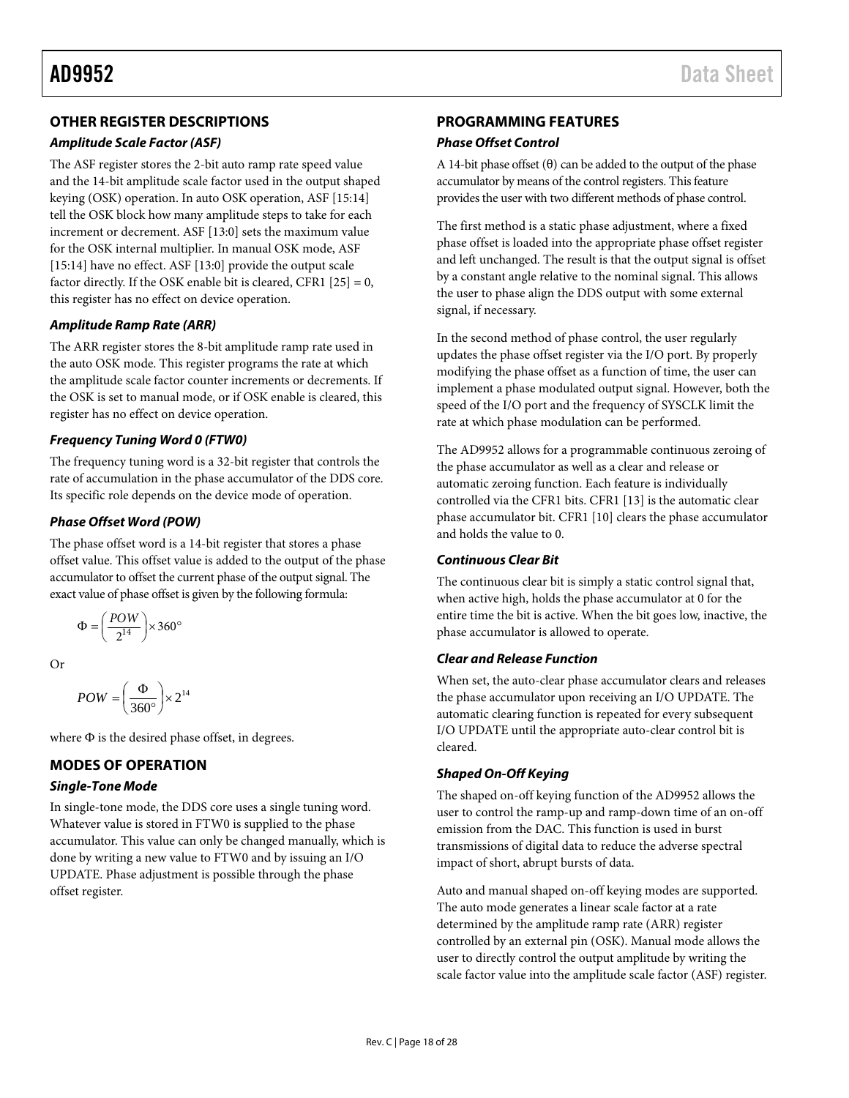### <span id="page-17-0"></span>**OTHER REGISTER DESCRIPTIONS**

#### *Amplitude Scale Factor (ASF)*

The ASF register stores the 2-bit auto ramp rate speed value and the 14-bit amplitude scale factor used in the output shaped keying (OSK) operation. In auto OSK operation, ASF [15:14] tell the OSK block how many amplitude steps to take for each increment or decrement. ASF [13:0] sets the maximum value for the OSK internal multiplier. In manual OSK mode, ASF [15:14] have no effect. ASF [13:0] provide the output scale factor directly. If the OSK enable bit is cleared, CFR1  $[25] = 0$ , this register has no effect on device operation.

#### *Amplitude Ramp Rate (ARR)*

The ARR register stores the 8-bit amplitude ramp rate used in the auto OSK mode. This register programs the rate at which the amplitude scale factor counter increments or decrements. If the OSK is set to manual mode, or if OSK enable is cleared, this register has no effect on device operation.

#### *Frequency Tuning Word 0 (FTW0)*

The frequency tuning word is a 32-bit register that controls the rate of accumulation in the phase accumulator of the DDS core. Its specific role depends on the device mode of operation.

### <span id="page-17-4"></span>*Phase Offset Word (POW)*

The phase offset word is a 14-bit register that stores a phase offset value. This offset value is added to the output of the phase accumulator to offset the current phase of the output signal. The exact value of phase offset is given by the following formula:

$$
\Phi = \left(\frac{POW}{2^{14}}\right) \times 360^{\circ}
$$

Or

$$
POW = \left(\frac{\Phi}{360^\circ}\right) \times 2^{14}
$$

where Φ is the desired phase offset, in degrees.

### <span id="page-17-1"></span>**MODES OF OPERATION**

#### *Single-Tone Mode*

In single-tone mode, the DDS core uses a single tuning word. Whatever value is stored in FTW0 is supplied to the phase accumulator. This value can only be changed manually, which is done by writing a new value to FTW0 and by issuing an I/O UPDATE. Phase adjustment is possible through the phase offset register.

### <span id="page-17-2"></span>**PROGRAMMING FEATURES**

#### *Phase Offset Control*

A 14-bit phase offset  $(\theta)$  can be added to the output of the phase accumulator by means of the control registers. This feature provides the user with two different methods of phase control.

The first method is a static phase adjustment, where a fixed phase offset is loaded into the appropriate phase offset register and left unchanged. The result is that the output signal is offset by a constant angle relative to the nominal signal. This allows the user to phase align the DDS output with some external signal, if necessary.

In the second method of phase control, the user regularly updates the phase offset register via the I/O port. By properly modifying the phase offset as a function of time, the user can implement a phase modulated output signal. However, both the speed of the I/O port and the frequency of SYSCLK limit the rate at which phase modulation can be performed.

The AD9952 allows for a programmable continuous zeroing of the phase accumulator as well as a clear and release or automatic zeroing function. Each feature is individually controlled via the CFR1 bits. CFR1 [13] is the automatic clear phase accumulator bit. CFR1 [10] clears the phase accumulator and holds the value to 0.

### *Continuous Clear Bit*

The continuous clear bit is simply a static control signal that, when active high, holds the phase accumulator at 0 for the entire time the bit is active. When the bit goes low, inactive, the phase accumulator is allowed to operate.

#### *Clear and Release Function*

When set, the auto-clear phase accumulator clears and releases the phase accumulator upon receiving an I/O UPDATE. The automatic clearing function is repeated for every subsequent I/O UPDATE until the appropriate auto-clear control bit is cleared.

### <span id="page-17-3"></span>*Shaped On-Off Keying*

The shaped on-off keying function of the AD9952 allows the user to control the ramp-up and ramp-down time of an on-off emission from the DAC. This function is used in burst transmissions of digital data to reduce the adverse spectral impact of short, abrupt bursts of data.

Auto and manual shaped on-off keying modes are supported. The auto mode generates a linear scale factor at a rate determined by the amplitude ramp rate (ARR) register controlled by an external pin (OSK). Manual mode allows the user to directly control the output amplitude by writing the scale factor value into the amplitude scale factor (ASF) register.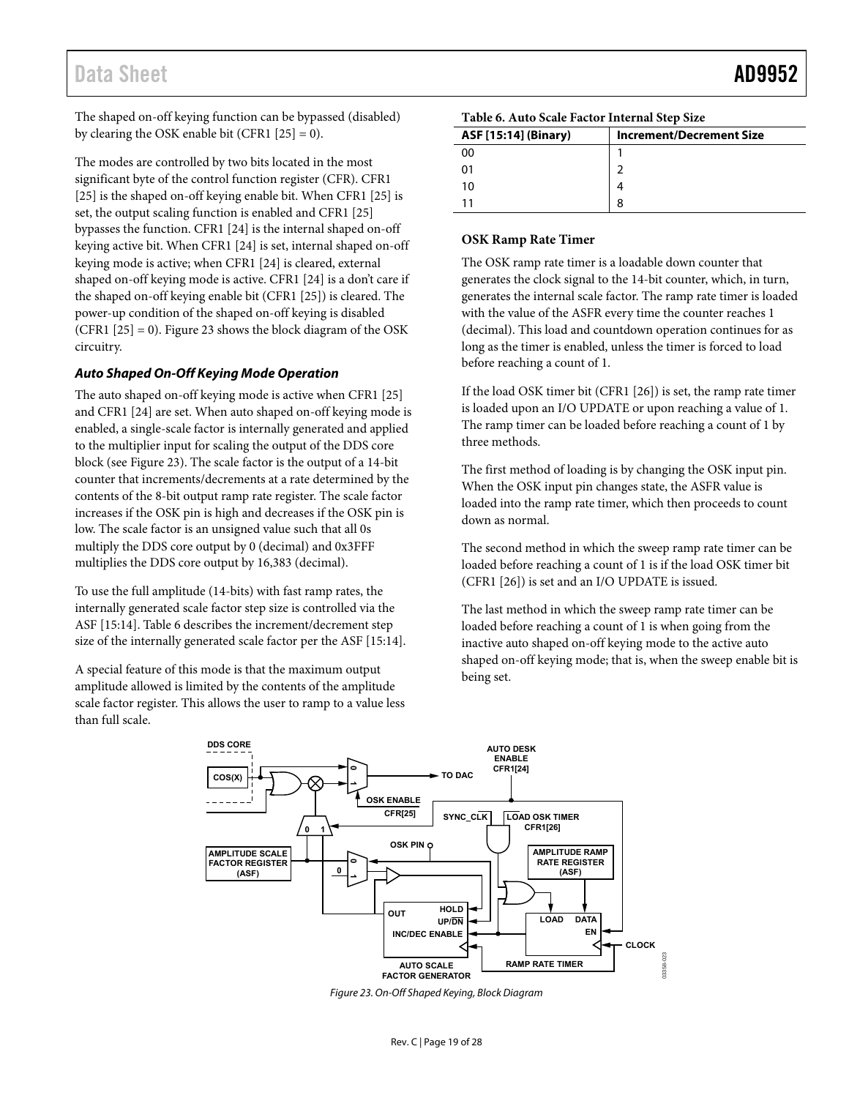The shaped on-off keying function can be bypassed (disabled) by clearing the OSK enable bit (CFR1  $[25] = 0$ ).

The modes are controlled by two bits located in the most significant byte of the control function register (CFR). CFR1 [25] is the shaped on-off keying enable bit. When CFR1 [25] is set, the output scaling function is enabled and CFR1 [25] bypasses the function. CFR1 [24] is the internal shaped on-off keying active bit. When CFR1 [24] is set, internal shaped on-off keying mode is active; when CFR1 [24] is cleared, external shaped on-off keying mode is active. CFR1 [24] is a don't care if the shaped on-off keying enable bit (CFR1 [25]) is cleared. The power-up condition of the shaped on-off keying is disabled (CFR1  $[25] = 0$ ). [Figure 23 s](#page-18-0)hows the block diagram of the OSK circuitry.

#### **Auto Shaped On-Off Keying Mode Operation**

The auto shaped on-off keying mode is active when CFR1 [25] and CFR1 [24] are set. When auto shaped on-off keying mode is enabled, a single-scale factor is internally generated and applied to the multiplier input for scaling the output of the DDS core block (see [Figure 23\)](#page-18-0). The scale factor is the output of a 14-bit counter that increments/decrements at a rate determined by the contents of the 8-bit output ramp rate register. The scale factor increases if the OSK pin is high and decreases if the OSK pin is low. The scale factor is an unsigned value such that all 0s multiply the DDS core output by 0 (decimal) and 0x3FFF multiplies the DDS core output by 16,383 (decimal).

To use the full amplitude (14-bits) with fast ramp rates, the internally generated scale factor step size is controlled via the ASF [15:14][. Table 6 d](#page-18-1)escribes the increment/decrement step size of the internally generated scale factor per the ASF [15:14].

A special feature of this mode is that the maximum output amplitude allowed is limited by the contents of the amplitude scale factor register. This allows the user to ramp to a value less than full scale.

<span id="page-18-1"></span>

| Table 6. Auto Scale Factor Internal Step Size |  |
|-----------------------------------------------|--|
|-----------------------------------------------|--|

| ASF [15:14] (Binary) | <b>Increment/Decrement Size</b> |
|----------------------|---------------------------------|
| o٥                   |                                 |
|                      |                                 |
| 10                   |                                 |
|                      |                                 |

#### **OSK Ramp Rate Timer**

The OSK ramp rate timer is a loadable down counter that generates the clock signal to the 14-bit counter, which, in turn, generates the internal scale factor. The ramp rate timer is loaded with the value of the ASFR every time the counter reaches 1 (decimal). This load and countdown operation continues for as long as the timer is enabled, unless the timer is forced to load before reaching a count of 1.

If the load OSK timer bit (CFR1 [26]) is set, the ramp rate timer is loaded upon an I/O UPDATE or upon reaching a value of 1. The ramp timer can be loaded before reaching a count of 1 by three methods.

The first method of loading is by changing the OSK input pin. When the OSK input pin changes state, the ASFR value is loaded into the ramp rate timer, which then proceeds to count down as normal.

The second method in which the sweep ramp rate timer can be loaded before reaching a count of 1 is if the load OSK timer bit (CFR1 [26]) is set and an I/O UPDATE is issued.

The last method in which the sweep ramp rate timer can be loaded before reaching a count of 1 is when going from the inactive auto shaped on-off keying mode to the active auto shaped on-off keying mode; that is, when the sweep enable bit is being set.



<span id="page-18-0"></span>Figure 23. On-Off Shaped Keying, Block Diagram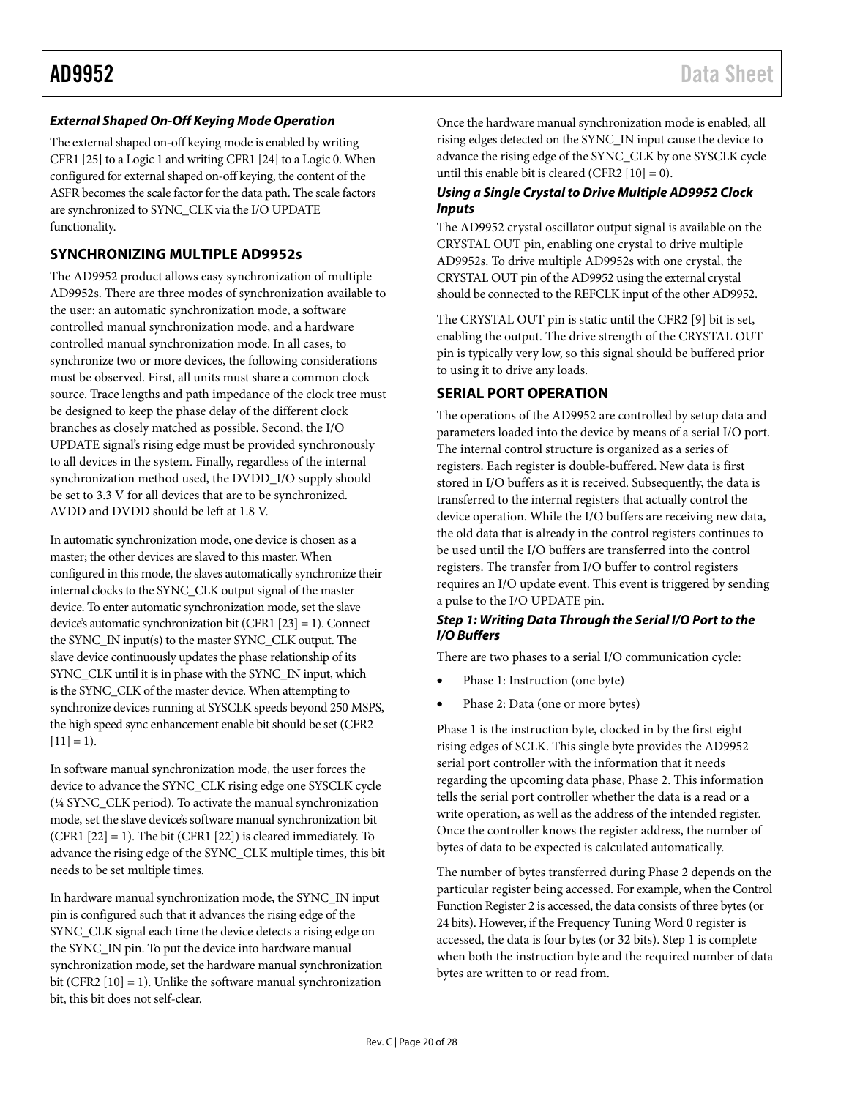#### *External Shaped On-Off Keying Mode Operation*

The external shaped on-off keying mode is enabled by writing CFR1 [25] to a Logic 1 and writing CFR1 [24] to a Logic 0. When configured for external shaped on-off keying, the content of the ASFR becomes the scale factor for the data path. The scale factors are synchronized to SYNC\_CLK via the I/O UPDATE functionality.

#### <span id="page-19-0"></span>**SYNCHRONIZING MULTIPLE AD9952s**

The AD9952 product allows easy synchronization of multiple AD9952s. There are three modes of synchronization available to the user: an automatic synchronization mode, a software controlled manual synchronization mode, and a hardware controlled manual synchronization mode. In all cases, to synchronize two or more devices, the following considerations must be observed. First, all units must share a common clock source. Trace lengths and path impedance of the clock tree must be designed to keep the phase delay of the different clock branches as closely matched as possible. Second, the I/O UPDATE signal's rising edge must be provided synchronously to all devices in the system. Finally, regardless of the internal synchronization method used, the DVDD\_I/O supply should be set to 3.3 V for all devices that are to be synchronized. AVDD and DVDD should be left at 1.8 V.

In automatic synchronization mode, one device is chosen as a master; the other devices are slaved to this master. When configured in this mode, the slaves automatically synchronize their internal clocks to the SYNC\_CLK output signal of the master device. To enter automatic synchronization mode, set the slave device's automatic synchronization bit (CFR1 [23] = 1). Connect the SYNC\_IN input(s) to the master SYNC\_CLK output. The slave device continuously updates the phase relationship of its SYNC\_CLK until it is in phase with the SYNC\_IN input, which is the SYNC\_CLK of the master device. When attempting to synchronize devices running at SYSCLK speeds beyond 250 MSPS, the high speed sync enhancement enable bit should be set (CFR2  $[11] = 1$ .

In software manual synchronization mode, the user forces the device to advance the SYNC\_CLK rising edge one SYSCLK cycle (¼ SYNC\_CLK period). To activate the manual synchronization mode, set the slave device's software manual synchronization bit (CFR1  $[22] = 1$ ). The bit (CFR1  $[22]$ ) is cleared immediately. To advance the rising edge of the SYNC\_CLK multiple times, this bit needs to be set multiple times.

In hardware manual synchronization mode, the SYNC\_IN input pin is configured such that it advances the rising edge of the SYNC\_CLK signal each time the device detects a rising edge on the SYNC\_IN pin. To put the device into hardware manual synchronization mode, set the hardware manual synchronization bit (CFR2 [10] = 1). Unlike the software manual synchronization bit, this bit does not self-clear.

Once the hardware manual synchronization mode is enabled, all rising edges detected on the SYNC\_IN input cause the device to advance the rising edge of the SYNC\_CLK by one SYSCLK cycle until this enable bit is cleared (CFR2  $[10] = 0$ ).

#### *Using a Single Crystal to Drive Multiple AD9952 Clock Inputs*

The AD9952 crystal oscillator output signal is available on the CRYSTAL OUT pin, enabling one crystal to drive multiple AD9952s. To drive multiple AD9952s with one crystal, the CRYSTAL OUT pin of the AD9952 using the external crystal should be connected to the REFCLK input of the other AD9952.

The CRYSTAL OUT pin is static until the CFR2 [9] bit is set, enabling the output. The drive strength of the CRYSTAL OUT pin is typically very low, so this signal should be buffered prior to using it to drive any loads.

#### <span id="page-19-1"></span>**SERIAL PORT OPERATION**

The operations of the AD9952 are controlled by setup data and parameters loaded into the device by means of a serial I/O port. The internal control structure is organized as a series of registers. Each register is double-buffered. New data is first stored in I/O buffers as it is received. Subsequently, the data is transferred to the internal registers that actually control the device operation. While the I/O buffers are receiving new data, the old data that is already in the control registers continues to be used until the I/O buffers are transferred into the control registers. The transfer from I/O buffer to control registers requires an I/O update event. This event is triggered by sending a pulse to the I/O UPDATE pin.

#### *Step 1: Writing Data Through the Serial I/O Port to the I/O Buffers*

There are two phases to a serial I/O communication cycle:

- Phase 1: Instruction (one byte)
- Phase 2: Data (one or more bytes)

Phase 1 is the instruction byte, clocked in by the first eight rising edges of SCLK. This single byte provides the AD9952 serial port controller with the information that it needs regarding the upcoming data phase, Phase 2. This information tells the serial port controller whether the data is a read or a write operation, as well as the address of the intended register. Once the controller knows the register address, the number of bytes of data to be expected is calculated automatically.

The number of bytes transferred during Phase 2 depends on the particular register being accessed. For example, when the Control Function Register 2 is accessed, the data consists of three bytes (or 24 bits). However, if the Frequency Tuning Word 0 register is accessed, the data is four bytes (or 32 bits). Step 1 is complete when both the instruction byte and the required number of data bytes are written to or read from.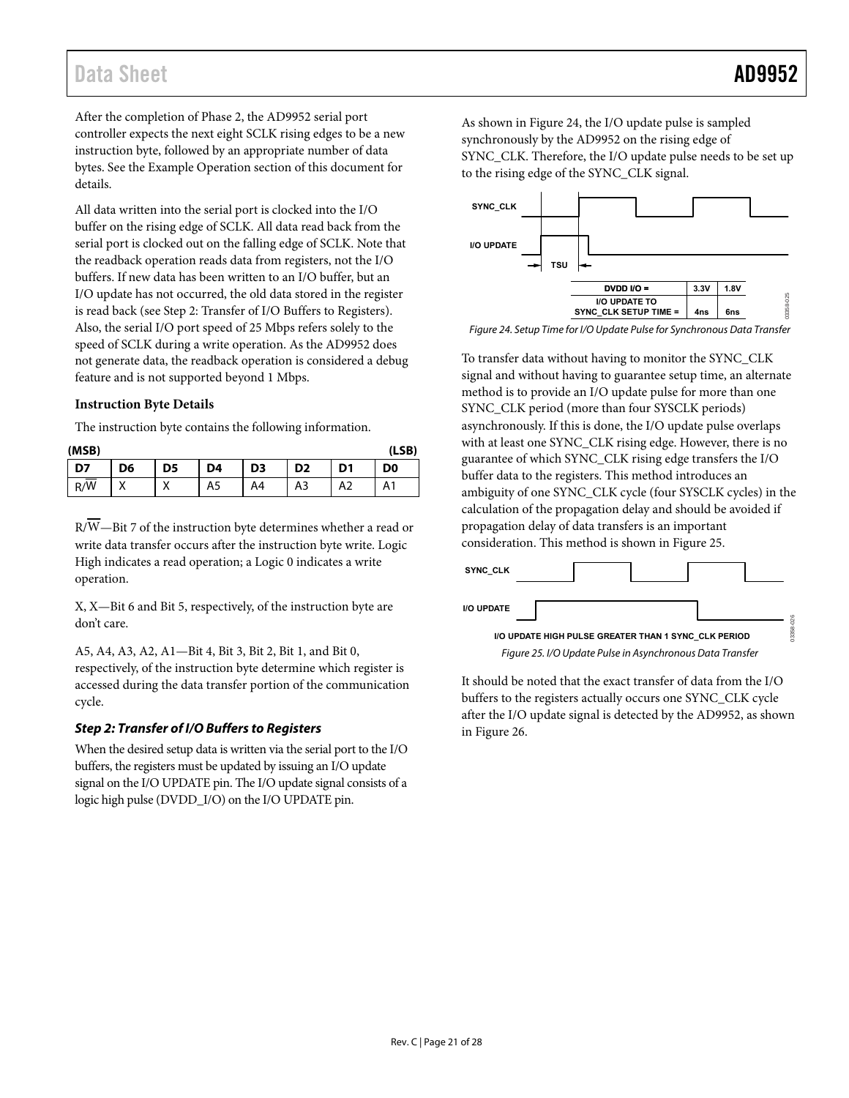After the completion of Phase 2, the AD9952 serial port controller expects the next eight SCLK rising edges to be a new instruction byte, followed by an appropriate number of data bytes. See the [Example Operation](#page-22-1) section of this document for details.

All data written into the serial port is clocked into the I/O buffer on the rising edge of SCLK. All data read back from the serial port is clocked out on the falling edge of SCLK. Note that the readback operation reads data from registers, not the I/O buffers. If new data has been written to an I/O buffer, but an I/O update has not occurred, the old data stored in the register is read back (see [Step 2: Transfer of I/O Buffers to Registers\)](#page-20-0). Also, the serial I/O port speed of 25 Mbps refers solely to the speed of SCLK during a write operation. As the AD9952 does not generate data, the readback operation is considered a debug feature and is not supported beyond 1 Mbps.

#### <span id="page-20-3"></span>**Instruction Byte Details**

The instruction byte contains the following information.

| (LSB)<br>(MSB)   |                |                  |    |                |                |    |                |
|------------------|----------------|------------------|----|----------------|----------------|----|----------------|
| D7               | D <sub>6</sub> | D5               | D4 | D <sub>3</sub> | D <sub>2</sub> | D1 | D <sub>0</sub> |
| $R/\overline{W}$ | $\lambda$<br>Λ | $\check{ }$<br>⌒ | A5 | A4             | A3             | A2 | A1             |

R/W—Bit 7 of the instruction byte determines whether a read or write data transfer occurs after the instruction byte write. Logic High indicates a read operation; a Logic 0 indicates a write operation.

X, X—Bit 6 and Bit 5, respectively, of the instruction byte are don't care.

A5, A4, A3, A2, A1—Bit 4, Bit 3, Bit 2, Bit 1, and Bit 0, respectively, of the instruction byte determine which register is accessed during the data transfer portion of the communication cycle.

### <span id="page-20-0"></span>**Step 2: Transfer of I/O Buffers to Registers**

When the desired setup data is written via the serial port to the I/O buffers, the registers must be updated by issuing an I/O update signal on the I/O UPDATE pin. The I/O update signal consists of a logic high pulse (DVDD\_I/O) on the I/O UPDATE pin.

As shown in [Figure 24,](#page-20-1) the I/O update pulse is sampled synchronously by the AD9952 on the rising edge of SYNC\_CLK. Therefore, the I/O update pulse needs to be set up to the rising edge of the SYNC\_CLK signal.



<span id="page-20-1"></span>Figure 24. Setup Time for I/O Update Pulse for Synchronous Data Transfer

To transfer data without having to monitor the SYNC\_CLK signal and without having to guarantee setup time, an alternate method is to provide an I/O update pulse for more than one SYNC\_CLK period (more than four SYSCLK periods) asynchronously. If this is done, the I/O update pulse overlaps with at least one SYNC\_CLK rising edge. However, there is no guarantee of which SYNC\_CLK rising edge transfers the I/O buffer data to the registers. This method introduces an ambiguity of one SYNC\_CLK cycle (four SYSCLK cycles) in the calculation of the propagation delay and should be avoided if propagation delay of data transfers is an important consideration. This method is shown i[n Figure 25.](#page-20-2)



<span id="page-20-2"></span>It should be noted that the exact transfer of data from the I/O buffers to the registers actually occurs one SYNC\_CLK cycle after the I/O update signal is detected by the AD9952, as shown in [Figure 26.](#page-21-0)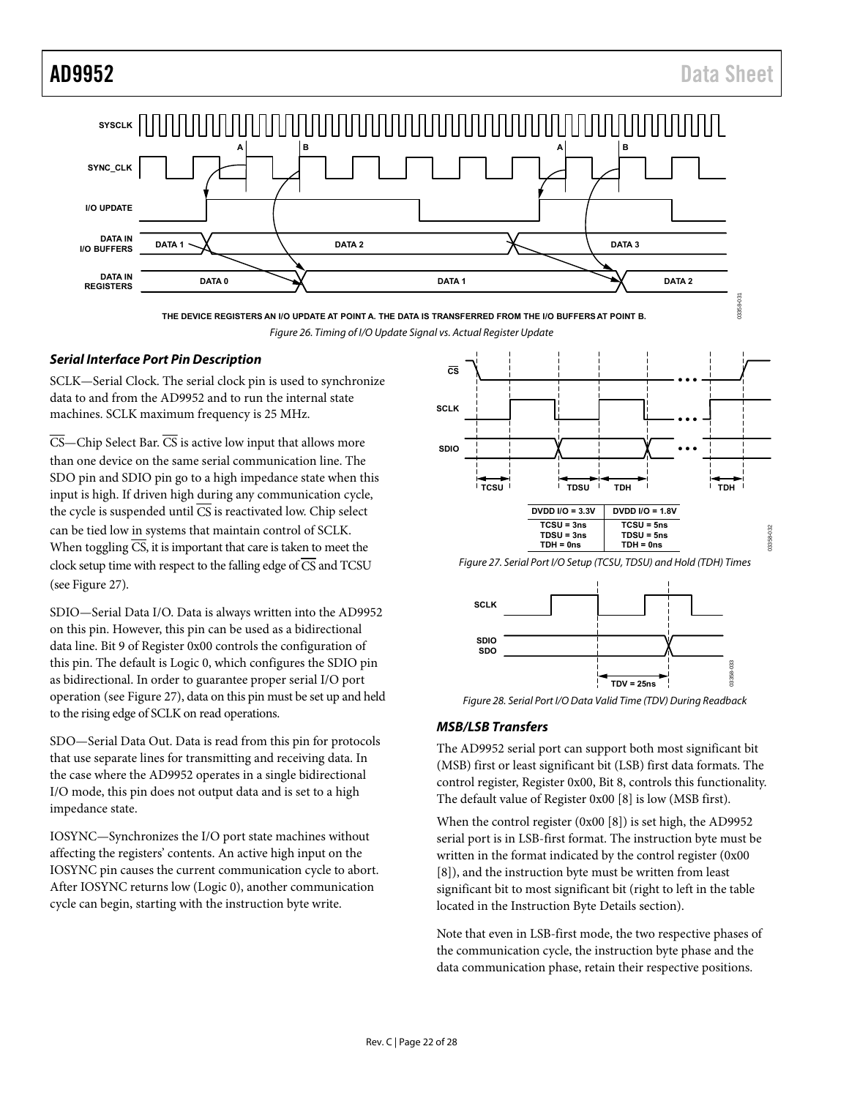

**THE DEVICE REGISTERS AN I/O UPDATE AT POINT A. THE DATA IS TRANSFERRED FROM THE I/O BUFFERS AT POINT B.** Figure 26. Timing of I/O Update Signal vs. Actual Register Update

#### <span id="page-21-0"></span>**Serial Interface Port Pin Description**

SCLK—Serial Clock. The serial clock pin is used to synchronize data to and from the AD9952 and to run the internal state machines. SCLK maximum frequency is 25 MHz.

 $\overline{\text{CS}}$ —Chip Select Bar.  $\overline{\text{CS}}$  is active low input that allows more than one device on the same serial communication line. The SDO pin and SDIO pin go to a high impedance state when this input is high. If driven high during any communication cycle, the cycle is suspended until  $\overline{\text{CS}}$  is reactivated low. Chip select can be tied low in systems that maintain control of SCLK. When toggling  $\overline{CS}$ , it is important that care is taken to meet the clock setup time with respect to the falling edge of  $\overline{CS}$  and TCSU (se[e Figure 27\)](#page-21-1).

SDIO—Serial Data I/O. Data is always written into the AD9952 on this pin. However, this pin can be used as a bidirectional data line. Bit 9 of Register 0x00 controls the configuration of this pin. The default is Logic 0, which configures the SDIO pin as bidirectional. In order to guarantee proper serial I/O port operation (see [Figure 27\)](#page-21-1), data on this pin must be set up and held to the rising edge of SCLK on read operations.

SDO—Serial Data Out. Data is read from this pin for protocols that use separate lines for transmitting and receiving data. In the case where the AD9952 operates in a single bidirectional I/O mode, this pin does not output data and is set to a high impedance state.

IOSYNC—Synchronizes the I/O port state machines without affecting the registers' contents. An active high input on the IOSYNC pin causes the current communication cycle to abort. After IOSYNC returns low (Logic 0), another communication cycle can begin, starting with the instruction byte write.



<span id="page-21-1"></span>Figure 28. Serial Port I/O Data Valid Time (TDV) During Readback

**TDV = 25ns**

### **MSB/LSB Transfers**

The AD9952 serial port can support both most significant bit (MSB) first or least significant bit (LSB) first data formats. The control register, Register 0x00, Bit 8, controls this functionality. The default value of Register 0x00 [8] is low (MSB first).

When the control register (0x00 [8]) is set high, the AD9952 serial port is in LSB-first format. The instruction byte must be written in the format indicated by the control register (0x00 [8]), and the instruction byte must be written from least significant bit to most significant bit (right to left in the table located in th[e Instruction Byte Details](#page-20-3) section).

Note that even in LSB-first mode, the two respective phases of the communication cycle, the instruction byte phase and the data communication phase, retain their respective positions.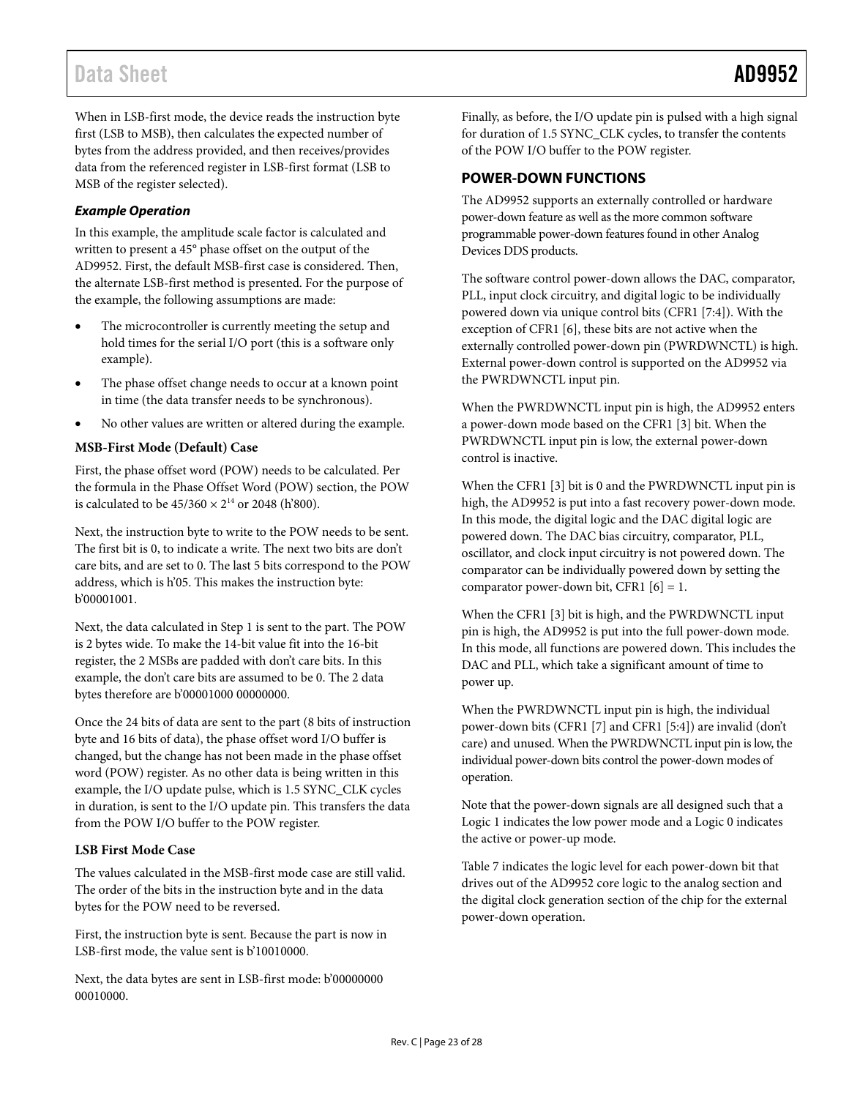When in LSB-first mode, the device reads the instruction byte first (LSB to MSB), then calculates the expected number of bytes from the address provided, and then receives/provides data from the referenced register in LSB-first format (LSB to MSB of the register selected).

#### <span id="page-22-1"></span>*Example Operation*

In this example, the amplitude scale factor is calculated and written to present a 45° phase offset on the output of the AD9952. First, the default MSB-first case is considered. Then, the alternate LSB-first method is presented. For the purpose of the example, the following assumptions are made:

- The microcontroller is currently meeting the setup and hold times for the serial I/O port (this is a software only example).
- The phase offset change needs to occur at a known point in time (the data transfer needs to be synchronous).
- No other values are written or altered during the example.

### **MSB-First Mode (Default) Case**

First, the phase offset word (POW) needs to be calculated. Per the formula in the [Phase Offset Word \(POW\)](#page-17-4) section, the POW is calculated to be  $45/360 \times 2^{14}$  or 2048 (h'800).

Next, the instruction byte to write to the POW needs to be sent. The first bit is 0, to indicate a write. The next two bits are don't care bits, and are set to 0. The last 5 bits correspond to the POW address, which is h'05. This makes the instruction byte: b'00001001.

Next, the data calculated in Step 1 is sent to the part. The POW is 2 bytes wide. To make the 14-bit value fit into the 16-bit register, the 2 MSBs are padded with don't care bits. In this example, the don't care bits are assumed to be 0. The 2 data bytes therefore are b'00001000 00000000.

Once the 24 bits of data are sent to the part (8 bits of instruction byte and 16 bits of data), the phase offset word I/O buffer is changed, but the change has not been made in the phase offset word (POW) register. As no other data is being written in this example, the I/O update pulse, which is 1.5 SYNC\_CLK cycles in duration, is sent to the I/O update pin. This transfers the data from the POW I/O buffer to the POW register.

#### **LSB First Mode Case**

The values calculated in the MSB-first mode case are still valid. The order of the bits in the instruction byte and in the data bytes for the POW need to be reversed.

First, the instruction byte is sent. Because the part is now in LSB-first mode, the value sent is b'10010000.

Next, the data bytes are sent in LSB-first mode: b'00000000 00010000.

Finally, as before, the I/O update pin is pulsed with a high signal for duration of 1.5 SYNC\_CLK cycles, to transfer the contents of the POW I/O buffer to the POW register.

### <span id="page-22-0"></span>**POWER-DOWN FUNCTIONS**

The AD9952 supports an externally controlled or hardware power-down feature as well as the more common software programmable power-down features found in other Analog Devices DDS products.

The software control power-down allows the DAC, comparator, PLL, input clock circuitry, and digital logic to be individually powered down via unique control bits (CFR1 [7:4]). With the exception of CFR1 [6], these bits are not active when the externally controlled power-down pin (PWRDWNCTL) is high. External power-down control is supported on the AD9952 via the PWRDWNCTL input pin.

When the PWRDWNCTL input pin is high, the AD9952 enters a power-down mode based on the CFR1 [3] bit. When the PWRDWNCTL input pin is low, the external power-down control is inactive.

When the CFR1 [3] bit is 0 and the PWRDWNCTL input pin is high, the AD9952 is put into a fast recovery power-down mode. In this mode, the digital logic and the DAC digital logic are powered down. The DAC bias circuitry, comparator, PLL, oscillator, and clock input circuitry is not powered down. The comparator can be individually powered down by setting the comparator power-down bit, CFR1  $[6] = 1$ .

When the CFR1 [3] bit is high, and the PWRDWNCTL input pin is high, the AD9952 is put into the full power-down mode. In this mode, all functions are powered down. This includes the DAC and PLL, which take a significant amount of time to power up.

When the PWRDWNCTL input pin is high, the individual power-down bits (CFR1 [7] and CFR1 [5:4]) are invalid (don't care) and unused. When the PWRDWNCTL input pin is low, the individual power-down bits control the power-down modes of operation.

Note that the power-down signals are all designed such that a Logic 1 indicates the low power mode and a Logic 0 indicates the active or power-up mode.

[Table 7](#page-23-0) indicates the logic level for each power-down bit that drives out of the AD9952 core logic to the analog section and the digital clock generation section of the chip for the external power-down operation.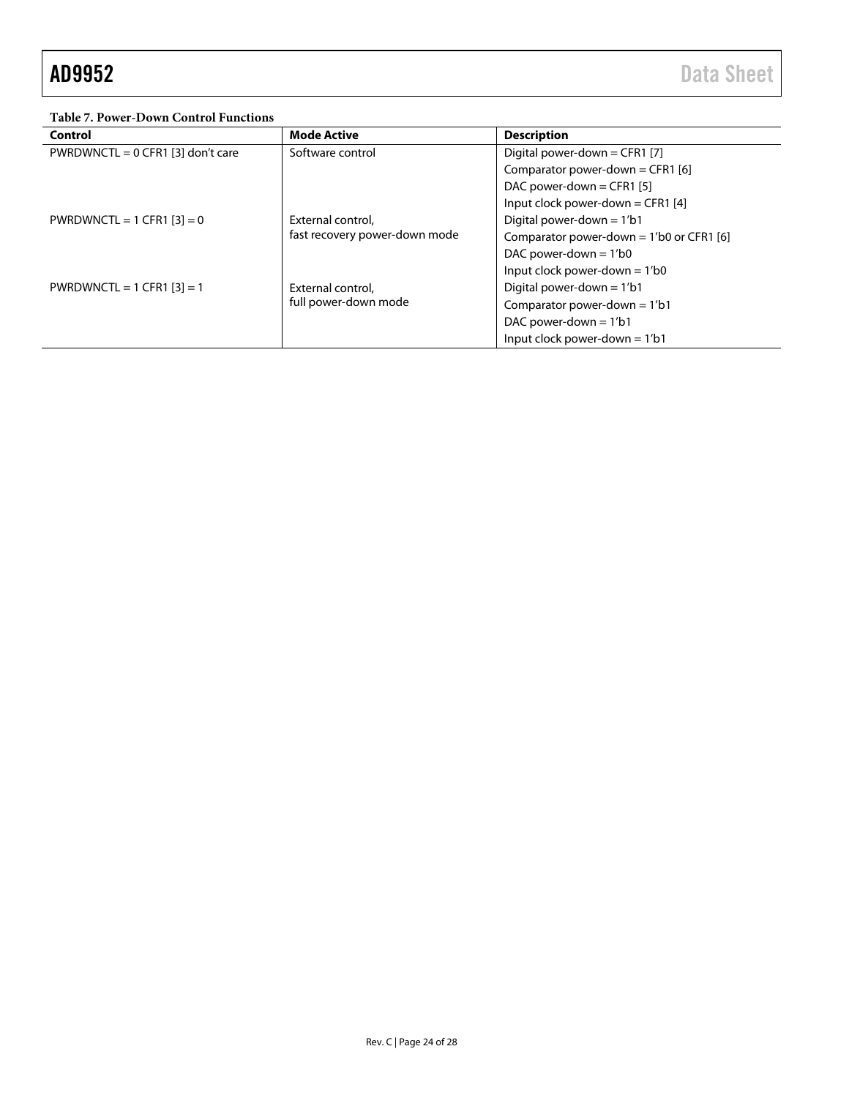<span id="page-23-0"></span>**Table 7. Power-Down Control Functions**

| Control                             | <b>Mode Active</b>            | <b>Description</b>                          |  |
|-------------------------------------|-------------------------------|---------------------------------------------|--|
| PWRDWNCTL = $0$ CFR1 [3] don't care | Software control              | Digital power-down = CFR1 [7]               |  |
|                                     |                               | Comparator power-down = CFR1 [6]            |  |
|                                     |                               | DAC power-down = CFR1 [5]                   |  |
|                                     |                               | Input clock power-down = CFR1 [4]           |  |
| PWRDWNCTL = 1 CFR1 $[3] = 0$        | External control,             | Digital power-down = $1/b1$                 |  |
|                                     | fast recovery power-down mode | Comparator power-down = $1'$ b0 or CFR1 [6] |  |
|                                     |                               | DAC power-down $= 1/b0$                     |  |
|                                     |                               | Input clock power-down $= 1/b0$             |  |
| PWRDWNCTL = 1 CFR1 $[3] = 1$        | External control,             | Digital power-down $= 1/b1$                 |  |
|                                     | full power-down mode          | Comparator power-down = $1/b1$              |  |
|                                     |                               | DAC power-down $= 1/b1$                     |  |
|                                     |                               | Input clock power-down $= 1/b1$             |  |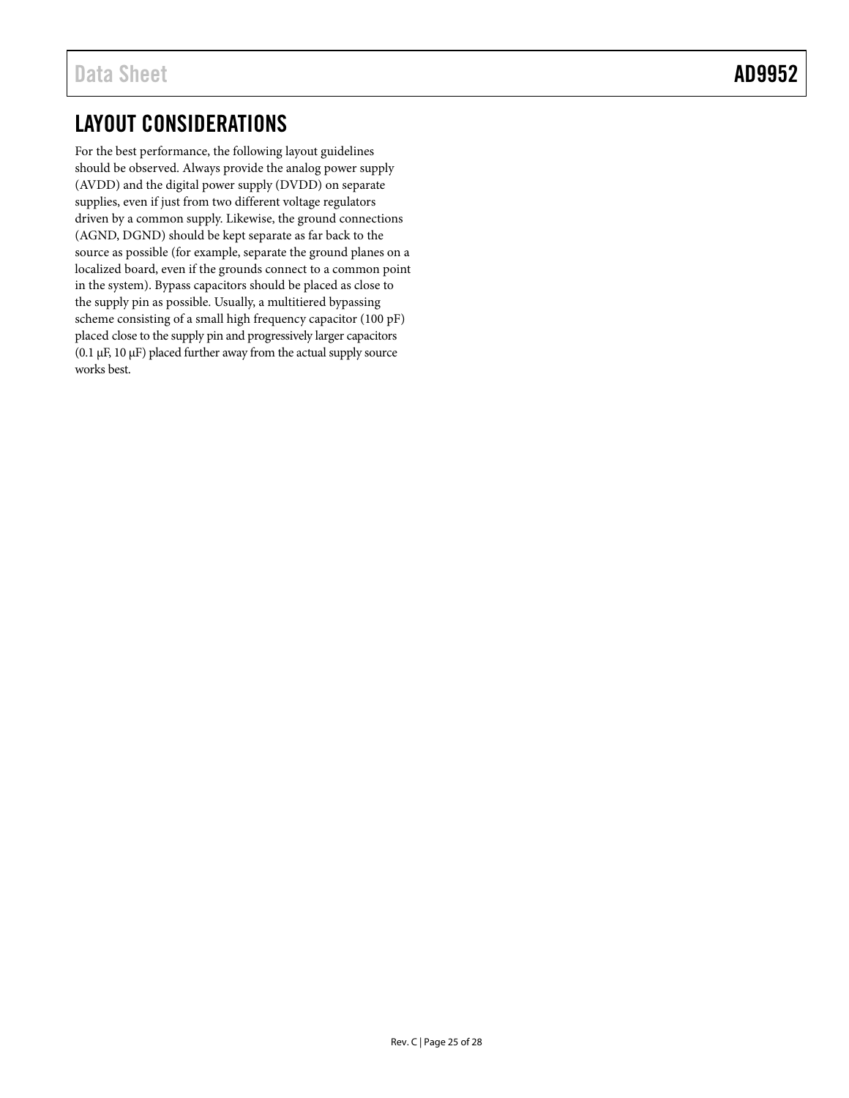# <span id="page-24-0"></span>LAYOUT CONSIDERATIONS

For the best performance, the following layout guidelines should be observed. Always provide the analog power supply (AVDD) and the digital power supply (DVDD) on separate supplies, even if just from two different voltage regulators driven by a common supply. Likewise, the ground connections (AGND, DGND) should be kept separate as far back to the source as possible (for example, separate the ground planes on a localized board, even if the grounds connect to a common point in the system). Bypass capacitors should be placed as close to the supply pin as possible. Usually, a multitiered bypassing scheme consisting of a small high frequency capacitor (100 pF) placed close to the supply pin and progressively larger capacitors (0.1  $\mu$ F, 10  $\mu$ F) placed further away from the actual supply source works best.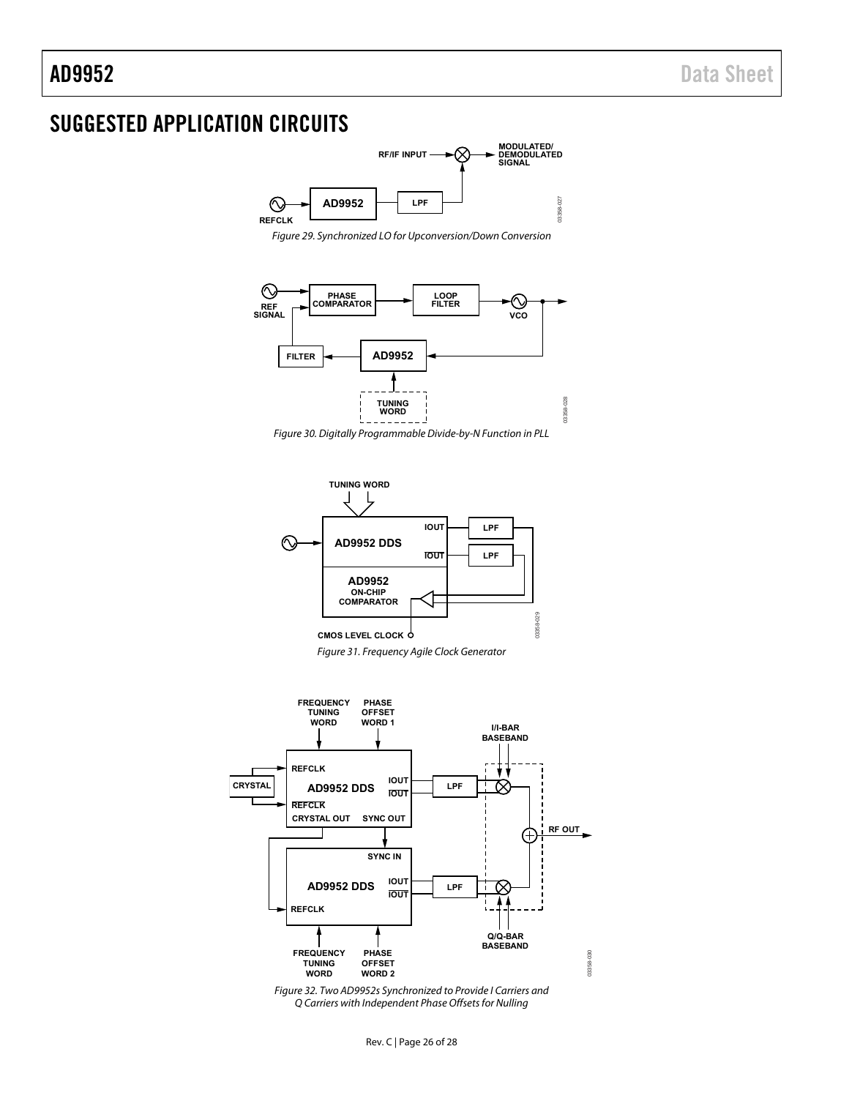# <span id="page-25-0"></span>SUGGESTED APPLICATION CIRCUITS



Figure 29. Synchronized LO for Upconversion/Down Conversion











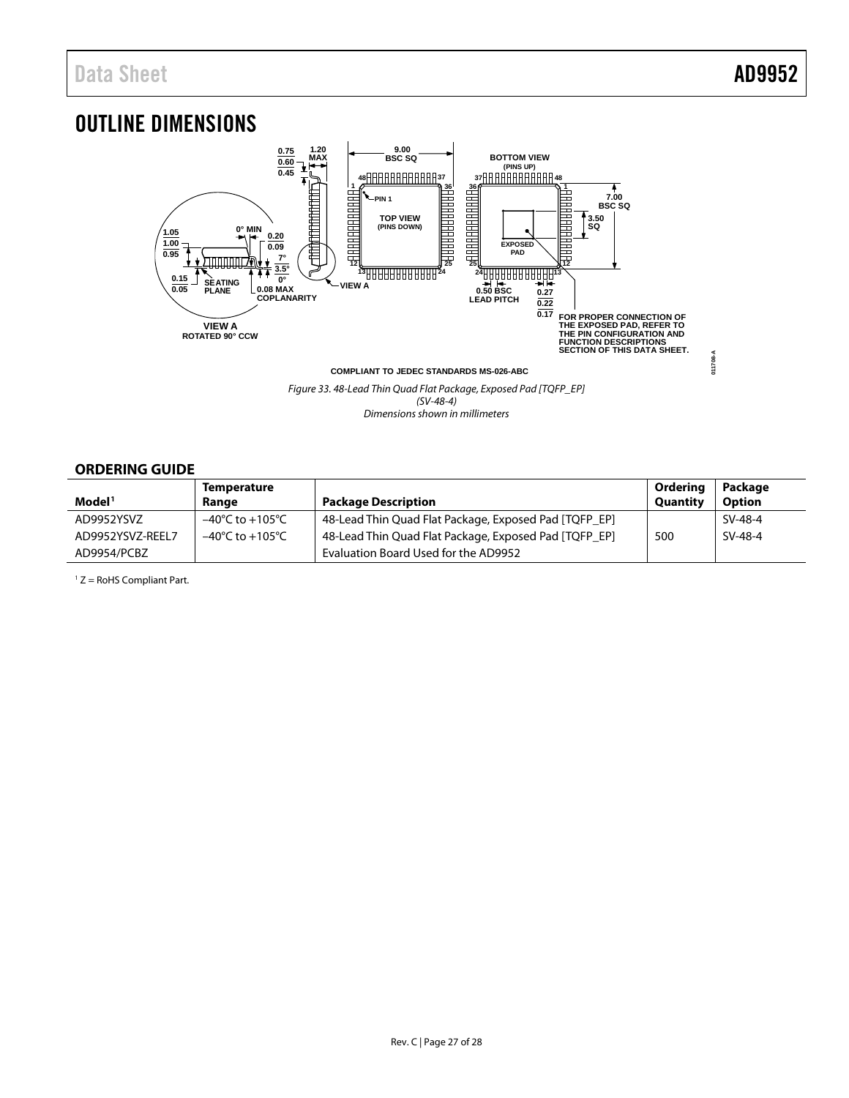## <span id="page-26-0"></span>OUTLINE DIMENSIONS



*Figure 33. 48-Lead Thin Quad Flat Package, Exposed Pad [TQFP\_EP] (SV-48-4) Dimensions shown in millimeters*

### <span id="page-26-1"></span>**ORDERING GUIDE**

|                    | <b>Temperature</b>                  |                                                       | Ordering | Package       |
|--------------------|-------------------------------------|-------------------------------------------------------|----------|---------------|
| Model <sup>1</sup> | Range                               | <b>Package Description</b>                            | Quantity | <b>Option</b> |
| AD9952YSVZ         | $-40^{\circ}$ C to $+105^{\circ}$ C | 48-Lead Thin Quad Flat Package, Exposed Pad [TQFP_EP] |          | SV-48-4       |
| AD9952YSVZ-REEL7   | –40°C to +105°C                     | 48-Lead Thin Quad Flat Package, Exposed Pad [TQFP_EP] | 500      | SV-48-4       |
| AD9954/PCBZ        |                                     | Evaluation Board Used for the AD9952                  |          |               |

<sup>1</sup> Z = RoHS Compliant Part.